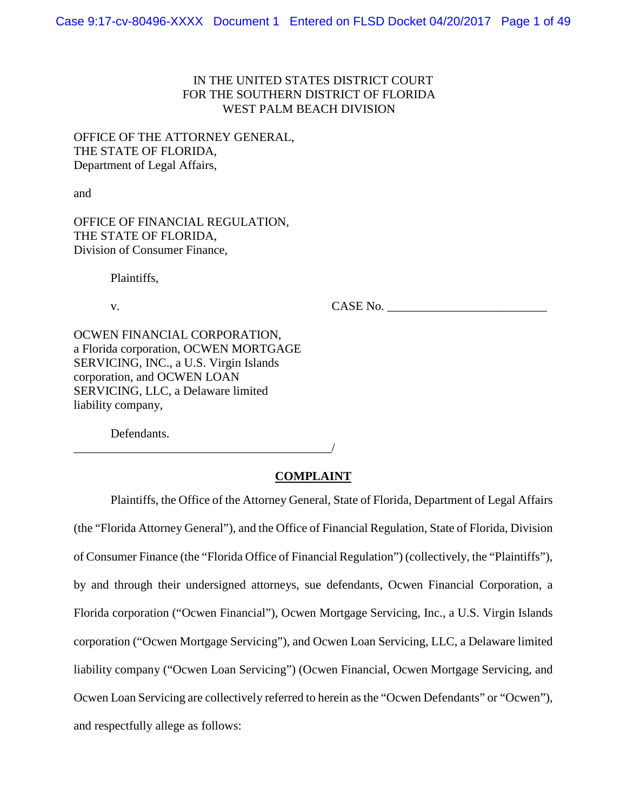# IN THE UNITED STATES DISTRICT COURT FOR THE SOUTHERN DISTRICT OF FLORIDA WEST PALM BEACH DIVISION

OFFICE OF THE ATTORNEY GENERAL, THE STATE OF FLORIDA, Department of Legal Affairs,

and

OFFICE OF FINANCIAL REGULATION, THE STATE OF FLORIDA, Division of Consumer Finance,

Plaintiffs,

v. CASE No.

OCWEN FINANCIAL CORPORATION, a Florida corporation, OCWEN MORTGAGE SERVICING, INC., a U.S. Virgin Islands corporation, and OCWEN LOAN SERVICING, LLC, a Delaware limited liability company,

\_\_\_\_\_\_\_\_\_\_\_\_\_\_\_\_\_\_\_\_\_\_\_\_\_\_\_\_\_\_\_\_\_\_\_\_\_\_\_\_\_\_/

Defendants.

## **COMPLAINT**

Plaintiffs, the Office of the Attorney General, State of Florida, Department of Legal Affairs (the "Florida Attorney General"), and the Office of Financial Regulation, State of Florida, Division of Consumer Finance (the "Florida Office of Financial Regulation") (collectively, the "Plaintiffs"), by and through their undersigned attorneys, sue defendants, Ocwen Financial Corporation, a Florida corporation ("Ocwen Financial"), Ocwen Mortgage Servicing, Inc., a U.S. Virgin Islands corporation ("Ocwen Mortgage Servicing"), and Ocwen Loan Servicing, LLC, a Delaware limited liability company ("Ocwen Loan Servicing") (Ocwen Financial, Ocwen Mortgage Servicing, and Ocwen Loan Servicing are collectively referred to herein as the "Ocwen Defendants" or "Ocwen"), and respectfully allege as follows: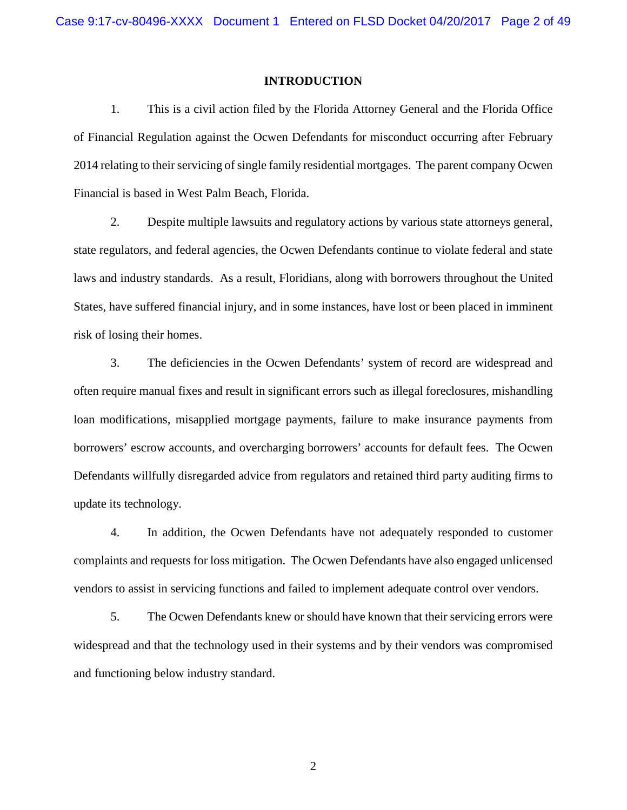#### **INTRODUCTION**

1. This is a civil action filed by the Florida Attorney General and the Florida Office of Financial Regulation against the Ocwen Defendants for misconduct occurring after February 2014 relating to their servicing of single family residential mortgages. The parent company Ocwen Financial is based in West Palm Beach, Florida.

2. Despite multiple lawsuits and regulatory actions by various state attorneys general, state regulators, and federal agencies, the Ocwen Defendants continue to violate federal and state laws and industry standards. As a result, Floridians, along with borrowers throughout the United States, have suffered financial injury, and in some instances, have lost or been placed in imminent risk of losing their homes.

3. The deficiencies in the Ocwen Defendants' system of record are widespread and often require manual fixes and result in significant errors such as illegal foreclosures, mishandling loan modifications, misapplied mortgage payments, failure to make insurance payments from borrowers' escrow accounts, and overcharging borrowers' accounts for default fees. The Ocwen Defendants willfully disregarded advice from regulators and retained third party auditing firms to update its technology.

4. In addition, the Ocwen Defendants have not adequately responded to customer complaints and requests for loss mitigation. The Ocwen Defendants have also engaged unlicensed vendors to assist in servicing functions and failed to implement adequate control over vendors.

5. The Ocwen Defendants knew or should have known that their servicing errors were widespread and that the technology used in their systems and by their vendors was compromised and functioning below industry standard.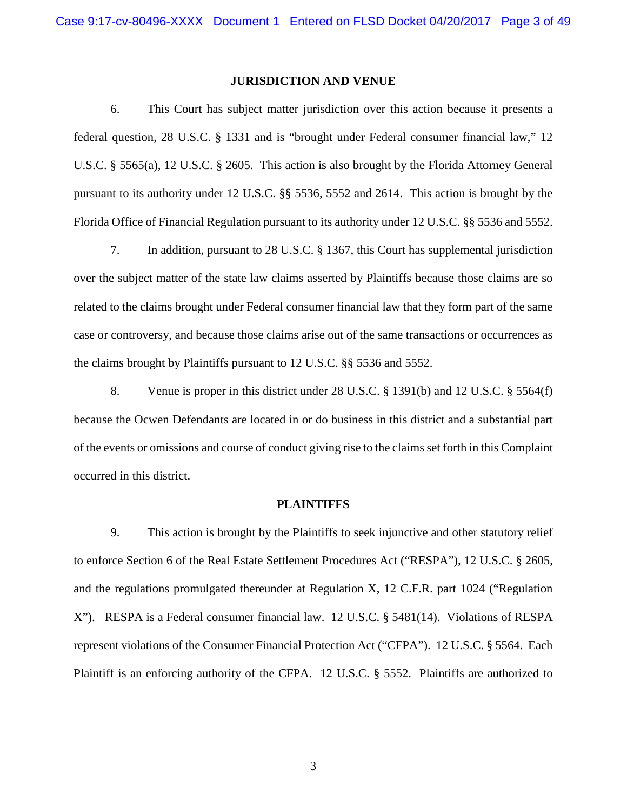#### **JURISDICTION AND VENUE**

6. This Court has subject matter jurisdiction over this action because it presents a federal question, 28 U.S.C. § 1331 and is "brought under Federal consumer financial law," 12 U.S.C. § 5565(a), 12 U.S.C. § 2605. This action is also brought by the Florida Attorney General pursuant to its authority under 12 U.S.C. §§ 5536, 5552 and 2614. This action is brought by the Florida Office of Financial Regulation pursuant to its authority under 12 U.S.C. §§ 5536 and 5552.

7. In addition, pursuant to 28 U.S.C. § 1367, this Court has supplemental jurisdiction over the subject matter of the state law claims asserted by Plaintiffs because those claims are so related to the claims brought under Federal consumer financial law that they form part of the same case or controversy, and because those claims arise out of the same transactions or occurrences as the claims brought by Plaintiffs pursuant to 12 U.S.C. §§ 5536 and 5552.

8. Venue is proper in this district under 28 U.S.C. § 1391(b) and 12 U.S.C. § 5564(f) because the Ocwen Defendants are located in or do business in this district and a substantial part of the events or omissions and course of conduct giving rise to the claims set forth in this Complaint occurred in this district.

#### **PLAINTIFFS**

9. This action is brought by the Plaintiffs to seek injunctive and other statutory relief to enforce Section 6 of the Real Estate Settlement Procedures Act ("RESPA"), 12 U.S.C. § 2605, and the regulations promulgated thereunder at Regulation X, 12 C.F.R. part 1024 ("Regulation X"). RESPA is a Federal consumer financial law. 12 U.S.C. § 5481(14). Violations of RESPA represent violations of the Consumer Financial Protection Act ("CFPA"). 12 U.S.C. § 5564. Each Plaintiff is an enforcing authority of the CFPA. 12 U.S.C. § 5552. Plaintiffs are authorized to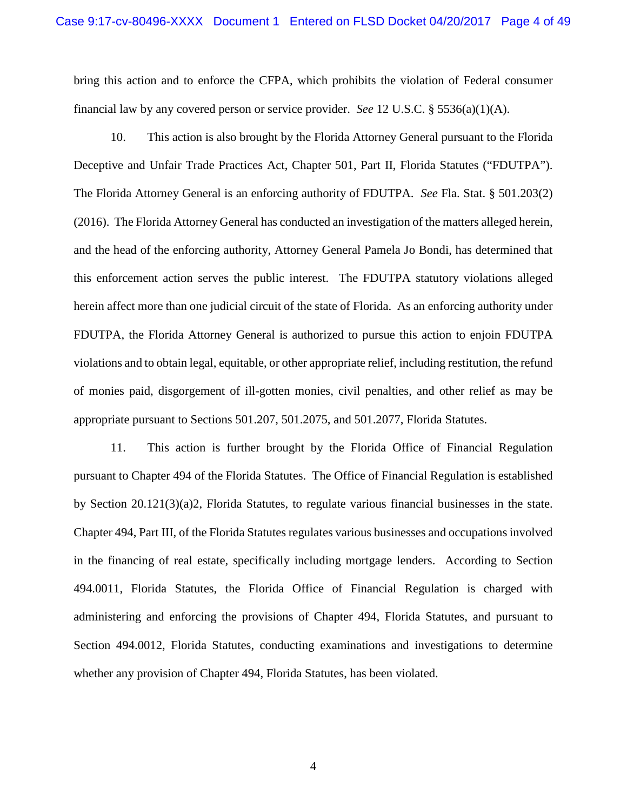bring this action and to enforce the CFPA, which prohibits the violation of Federal consumer financial law by any covered person or service provider. *See* 12 U.S.C. § 5536(a)(1)(A).

10. This action is also brought by the Florida Attorney General pursuant to the Florida Deceptive and Unfair Trade Practices Act, Chapter 501, Part II, Florida Statutes ("FDUTPA"). The Florida Attorney General is an enforcing authority of FDUTPA. *See* Fla. Stat. § 501.203(2) (2016). The Florida Attorney General has conducted an investigation of the matters alleged herein, and the head of the enforcing authority, Attorney General Pamela Jo Bondi, has determined that this enforcement action serves the public interest. The FDUTPA statutory violations alleged herein affect more than one judicial circuit of the state of Florida. As an enforcing authority under FDUTPA, the Florida Attorney General is authorized to pursue this action to enjoin FDUTPA violations and to obtain legal, equitable, or other appropriate relief, including restitution, the refund of monies paid, disgorgement of ill-gotten monies, civil penalties, and other relief as may be appropriate pursuant to Sections 501.207, 501.2075, and 501.2077, Florida Statutes.

11. This action is further brought by the Florida Office of Financial Regulation pursuant to Chapter 494 of the Florida Statutes. The Office of Financial Regulation is established by Section 20.121(3)(a)2, Florida Statutes, to regulate various financial businesses in the state. Chapter 494, Part III, of the Florida Statutes regulates various businesses and occupations involved in the financing of real estate, specifically including mortgage lenders. According to Section 494.0011, Florida Statutes, the Florida Office of Financial Regulation is charged with administering and enforcing the provisions of Chapter 494, Florida Statutes, and pursuant to Section 494.0012, Florida Statutes, conducting examinations and investigations to determine whether any provision of Chapter 494, Florida Statutes, has been violated.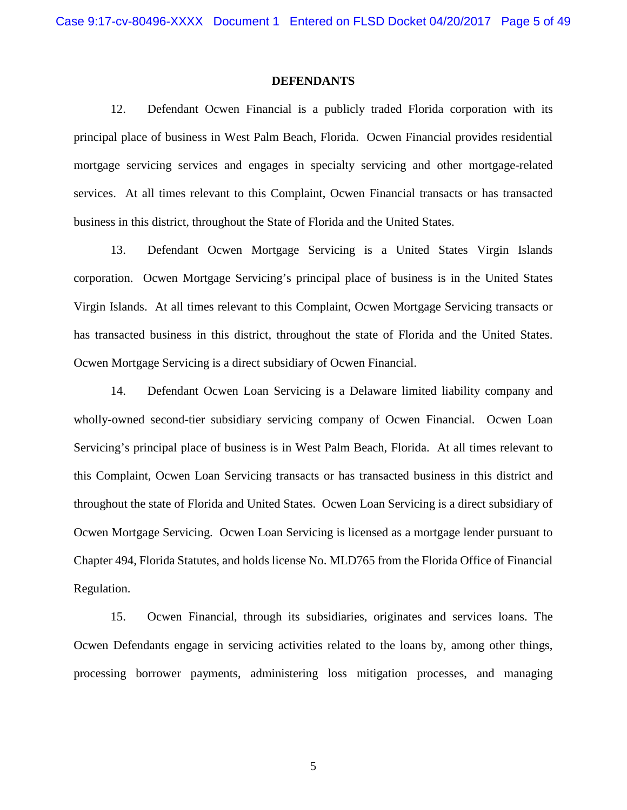#### **DEFENDANTS**

12. Defendant Ocwen Financial is a publicly traded Florida corporation with its principal place of business in West Palm Beach, Florida. Ocwen Financial provides residential mortgage servicing services and engages in specialty servicing and other mortgage-related services. At all times relevant to this Complaint, Ocwen Financial transacts or has transacted business in this district, throughout the State of Florida and the United States.

13. Defendant Ocwen Mortgage Servicing is a United States Virgin Islands corporation. Ocwen Mortgage Servicing's principal place of business is in the United States Virgin Islands. At all times relevant to this Complaint, Ocwen Mortgage Servicing transacts or has transacted business in this district, throughout the state of Florida and the United States. Ocwen Mortgage Servicing is a direct subsidiary of Ocwen Financial.

14. Defendant Ocwen Loan Servicing is a Delaware limited liability company and wholly-owned second-tier subsidiary servicing company of Ocwen Financial. Ocwen Loan Servicing's principal place of business is in West Palm Beach, Florida. At all times relevant to this Complaint, Ocwen Loan Servicing transacts or has transacted business in this district and throughout the state of Florida and United States. Ocwen Loan Servicing is a direct subsidiary of Ocwen Mortgage Servicing. Ocwen Loan Servicing is licensed as a mortgage lender pursuant to Chapter 494, Florida Statutes, and holds license No. MLD765 from the Florida Office of Financial Regulation.

15. Ocwen Financial, through its subsidiaries, originates and services loans. The Ocwen Defendants engage in servicing activities related to the loans by, among other things, processing borrower payments, administering loss mitigation processes, and managing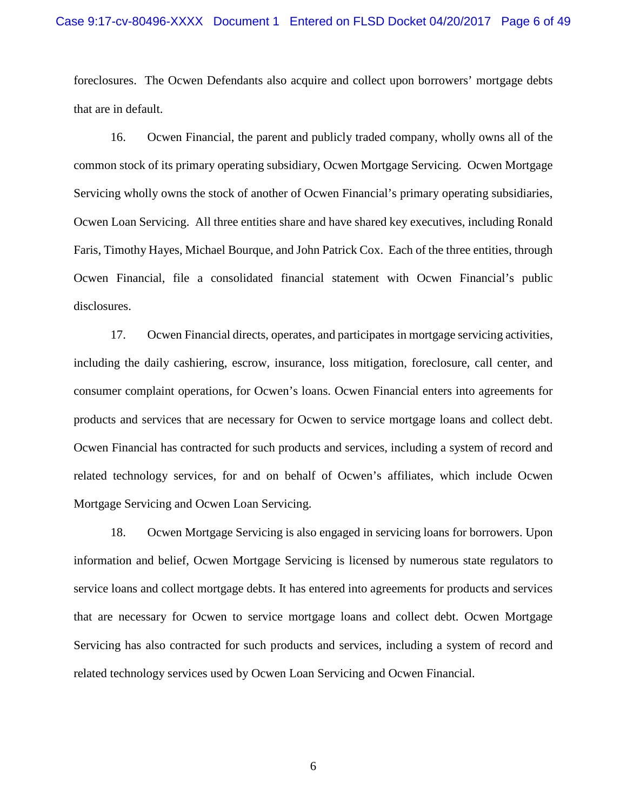#### Case 9:17-cv-80496-XXXX Document 1 Entered on FLSD Docket 04/20/2017 Page 6 of 49

foreclosures. The Ocwen Defendants also acquire and collect upon borrowers' mortgage debts that are in default.

16. Ocwen Financial, the parent and publicly traded company, wholly owns all of the common stock of its primary operating subsidiary, Ocwen Mortgage Servicing. Ocwen Mortgage Servicing wholly owns the stock of another of Ocwen Financial's primary operating subsidiaries, Ocwen Loan Servicing. All three entities share and have shared key executives, including Ronald Faris, Timothy Hayes, Michael Bourque, and John Patrick Cox. Each of the three entities, through Ocwen Financial, file a consolidated financial statement with Ocwen Financial's public disclosures.

17. Ocwen Financial directs, operates, and participates in mortgage servicing activities, including the daily cashiering, escrow, insurance, loss mitigation, foreclosure, call center, and consumer complaint operations, for Ocwen's loans. Ocwen Financial enters into agreements for products and services that are necessary for Ocwen to service mortgage loans and collect debt. Ocwen Financial has contracted for such products and services, including a system of record and related technology services, for and on behalf of Ocwen's affiliates, which include Ocwen Mortgage Servicing and Ocwen Loan Servicing.

18. Ocwen Mortgage Servicing is also engaged in servicing loans for borrowers. Upon information and belief, Ocwen Mortgage Servicing is licensed by numerous state regulators to service loans and collect mortgage debts. It has entered into agreements for products and services that are necessary for Ocwen to service mortgage loans and collect debt. Ocwen Mortgage Servicing has also contracted for such products and services, including a system of record and related technology services used by Ocwen Loan Servicing and Ocwen Financial.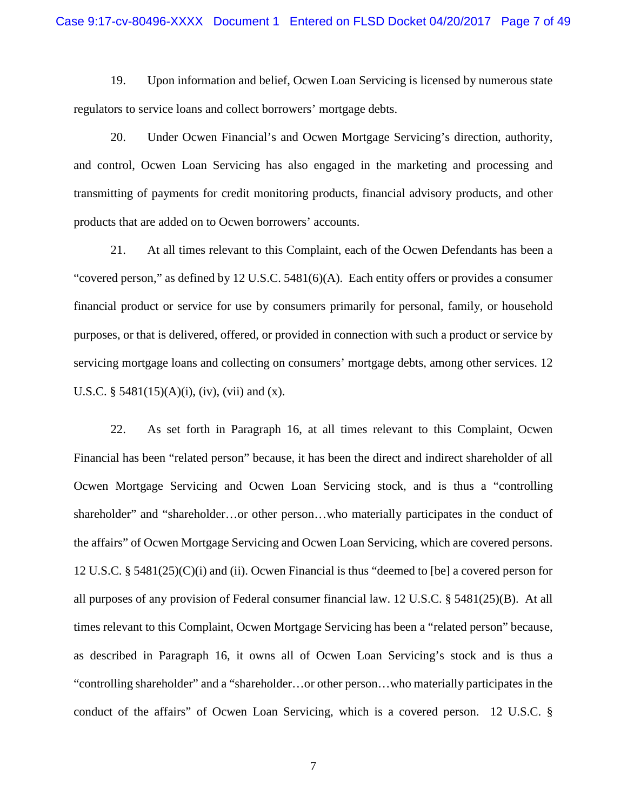19. Upon information and belief, Ocwen Loan Servicing is licensed by numerous state regulators to service loans and collect borrowers' mortgage debts.

20. Under Ocwen Financial's and Ocwen Mortgage Servicing's direction, authority, and control, Ocwen Loan Servicing has also engaged in the marketing and processing and transmitting of payments for credit monitoring products, financial advisory products, and other products that are added on to Ocwen borrowers' accounts.

21. At all times relevant to this Complaint, each of the Ocwen Defendants has been a "covered person," as defined by  $12$  U.S.C. 5481(6)(A). Each entity offers or provides a consumer financial product or service for use by consumers primarily for personal, family, or household purposes, or that is delivered, offered, or provided in connection with such a product or service by servicing mortgage loans and collecting on consumers' mortgage debts, among other services. 12 U.S.C. §  $5481(15)(A)(i)$ , (iv), (vii) and (x).

22. As set forth in Paragraph 16, at all times relevant to this Complaint, Ocwen Financial has been "related person" because, it has been the direct and indirect shareholder of all Ocwen Mortgage Servicing and Ocwen Loan Servicing stock, and is thus a "controlling shareholder" and "shareholder...or other person...who materially participates in the conduct of the affairs" of Ocwen Mortgage Servicing and Ocwen Loan Servicing, which are covered persons. 12 U.S.C. § 5481(25)(C)(i) and (ii). Ocwen Financial is thus "deemed to [be] a covered person for all purposes of any provision of Federal consumer financial law. 12 U.S.C. § 5481(25)(B). At all times relevant to this Complaint, Ocwen Mortgage Servicing has been a "related person" because, as described in Paragraph 16, it owns all of Ocwen Loan Servicing's stock and is thus a "controlling shareholder" and a "shareholder…or other person…who materially participates in the conduct of the affairs" of Ocwen Loan Servicing, which is a covered person. 12 U.S.C. §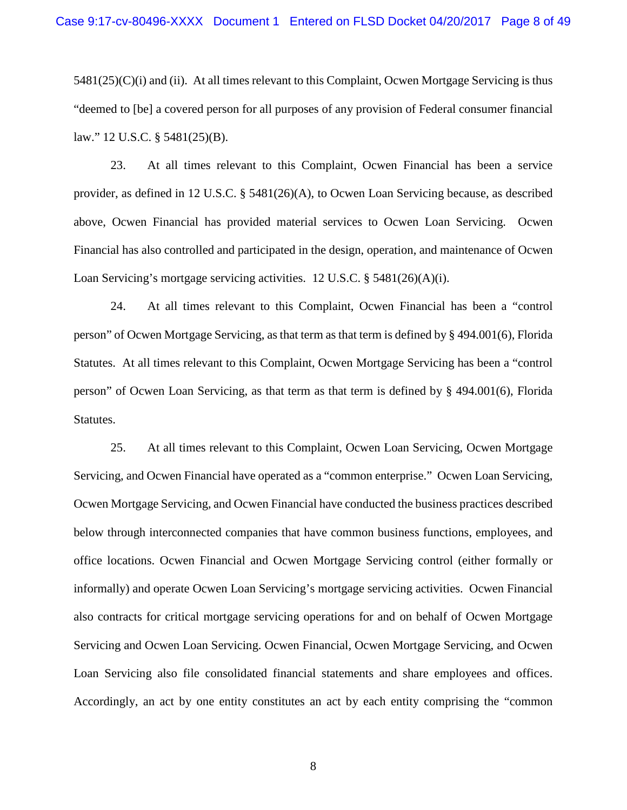$5481(25)(C)(i)$  and (ii). At all times relevant to this Complaint, Ocwen Mortgage Servicing is thus "deemed to [be] a covered person for all purposes of any provision of Federal consumer financial law." 12 U.S.C. § 5481(25)(B).

23. At all times relevant to this Complaint, Ocwen Financial has been a service provider, as defined in 12 U.S.C. § 5481(26)(A), to Ocwen Loan Servicing because, as described above, Ocwen Financial has provided material services to Ocwen Loan Servicing. Ocwen Financial has also controlled and participated in the design, operation, and maintenance of Ocwen Loan Servicing's mortgage servicing activities. 12 U.S.C. § 5481(26)(A)(i).

24. At all times relevant to this Complaint, Ocwen Financial has been a "control person" of Ocwen Mortgage Servicing, as that term as that term is defined by § 494.001(6), Florida Statutes. At all times relevant to this Complaint, Ocwen Mortgage Servicing has been a "control person" of Ocwen Loan Servicing, as that term as that term is defined by § 494.001(6), Florida Statutes.

25. At all times relevant to this Complaint, Ocwen Loan Servicing, Ocwen Mortgage Servicing, and Ocwen Financial have operated as a "common enterprise." Ocwen Loan Servicing, Ocwen Mortgage Servicing, and Ocwen Financial have conducted the business practices described below through interconnected companies that have common business functions, employees, and office locations. Ocwen Financial and Ocwen Mortgage Servicing control (either formally or informally) and operate Ocwen Loan Servicing's mortgage servicing activities. Ocwen Financial also contracts for critical mortgage servicing operations for and on behalf of Ocwen Mortgage Servicing and Ocwen Loan Servicing. Ocwen Financial, Ocwen Mortgage Servicing, and Ocwen Loan Servicing also file consolidated financial statements and share employees and offices. Accordingly, an act by one entity constitutes an act by each entity comprising the "common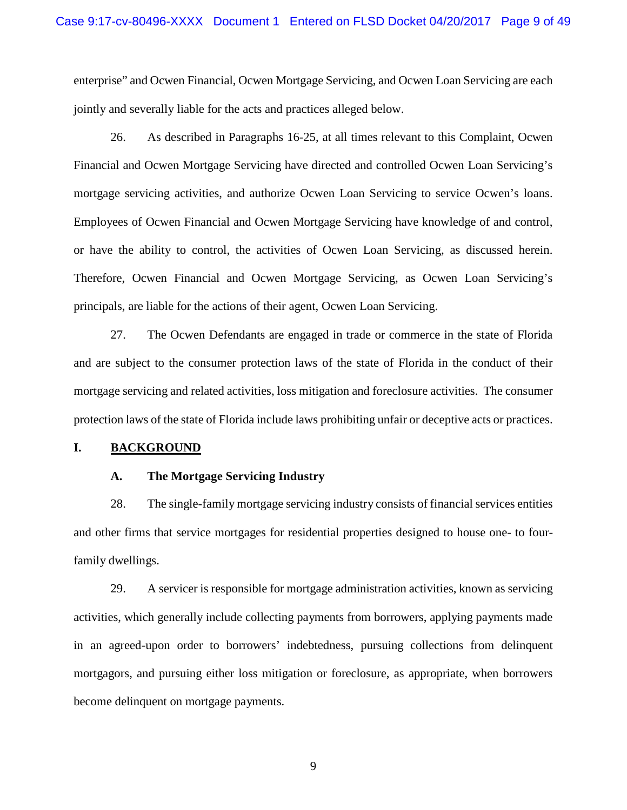enterprise" and Ocwen Financial, Ocwen Mortgage Servicing, and Ocwen Loan Servicing are each jointly and severally liable for the acts and practices alleged below.

26. As described in Paragraphs 16-25, at all times relevant to this Complaint, Ocwen Financial and Ocwen Mortgage Servicing have directed and controlled Ocwen Loan Servicing's mortgage servicing activities, and authorize Ocwen Loan Servicing to service Ocwen's loans. Employees of Ocwen Financial and Ocwen Mortgage Servicing have knowledge of and control, or have the ability to control, the activities of Ocwen Loan Servicing, as discussed herein. Therefore, Ocwen Financial and Ocwen Mortgage Servicing, as Ocwen Loan Servicing's principals, are liable for the actions of their agent, Ocwen Loan Servicing.

27. The Ocwen Defendants are engaged in trade or commerce in the state of Florida and are subject to the consumer protection laws of the state of Florida in the conduct of their mortgage servicing and related activities, loss mitigation and foreclosure activities. The consumer protection laws of the state of Florida include laws prohibiting unfair or deceptive acts or practices.

#### **I. BACKGROUND**

#### **A. The Mortgage Servicing Industry**

28. The single-family mortgage servicing industry consists of financial services entities and other firms that service mortgages for residential properties designed to house one- to fourfamily dwellings.

29. A servicer is responsible for mortgage administration activities, known as servicing activities, which generally include collecting payments from borrowers, applying payments made in an agreed-upon order to borrowers' indebtedness, pursuing collections from delinquent mortgagors, and pursuing either loss mitigation or foreclosure, as appropriate, when borrowers become delinquent on mortgage payments.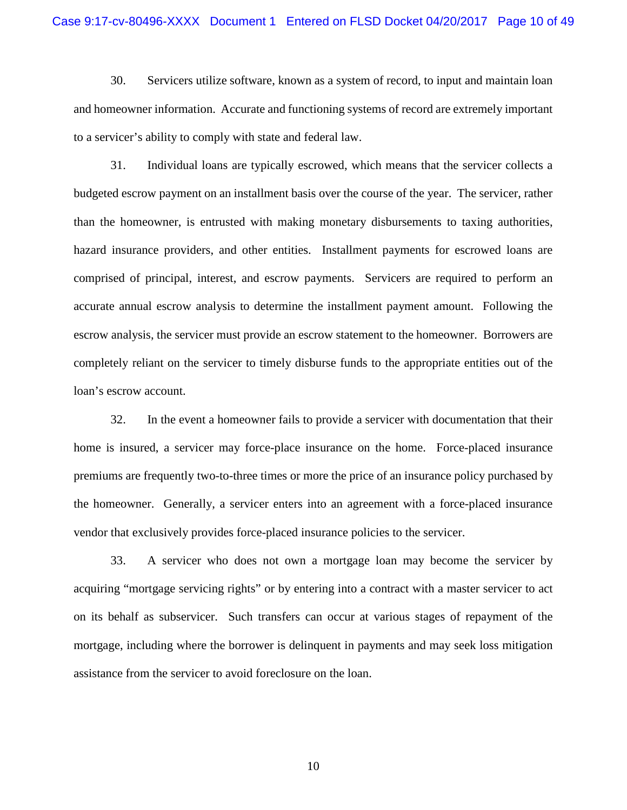30. Servicers utilize software, known as a system of record, to input and maintain loan and homeowner information. Accurate and functioning systems of record are extremely important to a servicer's ability to comply with state and federal law.

31. Individual loans are typically escrowed, which means that the servicer collects a budgeted escrow payment on an installment basis over the course of the year. The servicer, rather than the homeowner, is entrusted with making monetary disbursements to taxing authorities, hazard insurance providers, and other entities. Installment payments for escrowed loans are comprised of principal, interest, and escrow payments. Servicers are required to perform an accurate annual escrow analysis to determine the installment payment amount. Following the escrow analysis, the servicer must provide an escrow statement to the homeowner. Borrowers are completely reliant on the servicer to timely disburse funds to the appropriate entities out of the loan's escrow account.

32. In the event a homeowner fails to provide a servicer with documentation that their home is insured, a servicer may force-place insurance on the home. Force-placed insurance premiums are frequently two-to-three times or more the price of an insurance policy purchased by the homeowner. Generally, a servicer enters into an agreement with a force-placed insurance vendor that exclusively provides force-placed insurance policies to the servicer.

33. A servicer who does not own a mortgage loan may become the servicer by acquiring "mortgage servicing rights" or by entering into a contract with a master servicer to act on its behalf as subservicer. Such transfers can occur at various stages of repayment of the mortgage, including where the borrower is delinquent in payments and may seek loss mitigation assistance from the servicer to avoid foreclosure on the loan.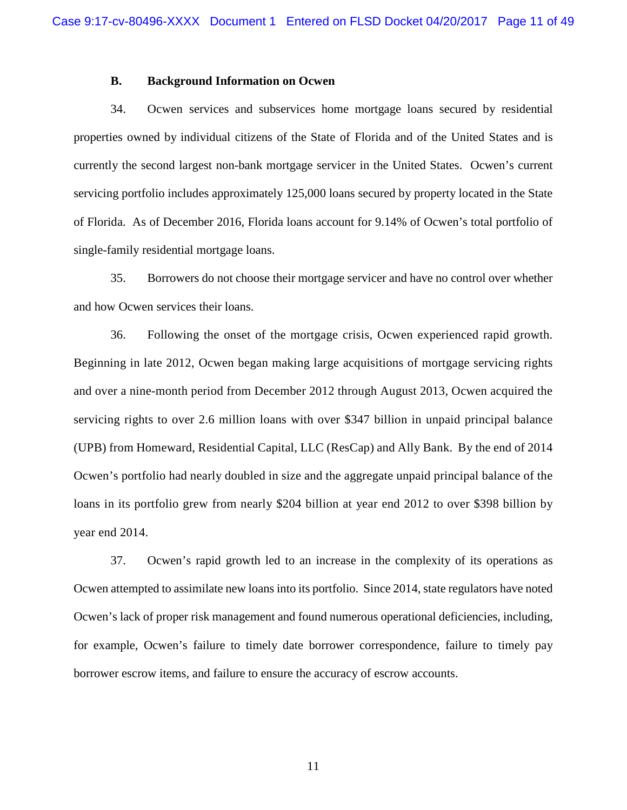### **B. Background Information on Ocwen**

34. Ocwen services and subservices home mortgage loans secured by residential properties owned by individual citizens of the State of Florida and of the United States and is currently the second largest non-bank mortgage servicer in the United States. Ocwen's current servicing portfolio includes approximately 125,000 loans secured by property located in the State of Florida. As of December 2016, Florida loans account for 9.14% of Ocwen's total portfolio of single-family residential mortgage loans.

35. Borrowers do not choose their mortgage servicer and have no control over whether and how Ocwen services their loans.

36. Following the onset of the mortgage crisis, Ocwen experienced rapid growth. Beginning in late 2012, Ocwen began making large acquisitions of mortgage servicing rights and over a nine-month period from December 2012 through August 2013, Ocwen acquired the servicing rights to over 2.6 million loans with over \$347 billion in unpaid principal balance (UPB) from Homeward, Residential Capital, LLC (ResCap) and Ally Bank. By the end of 2014 Ocwen's portfolio had nearly doubled in size and the aggregate unpaid principal balance of the loans in its portfolio grew from nearly \$204 billion at year end 2012 to over \$398 billion by year end 2014.

37. Ocwen's rapid growth led to an increase in the complexity of its operations as Ocwen attempted to assimilate new loans into its portfolio. Since 2014, state regulators have noted Ocwen's lack of proper risk management and found numerous operational deficiencies, including, for example, Ocwen's failure to timely date borrower correspondence, failure to timely pay borrower escrow items, and failure to ensure the accuracy of escrow accounts.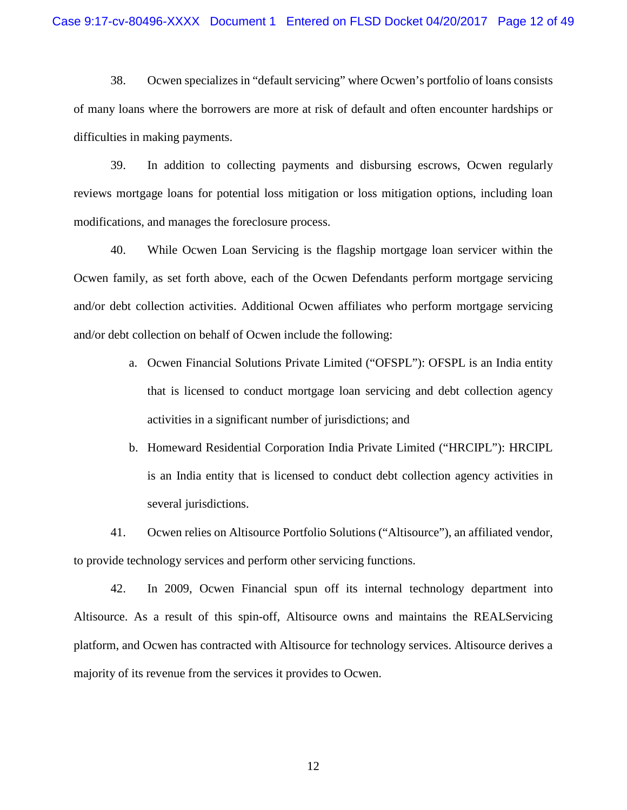38. Ocwen specializes in "default servicing" where Ocwen's portfolio of loans consists of many loans where the borrowers are more at risk of default and often encounter hardships or difficulties in making payments.

39. In addition to collecting payments and disbursing escrows, Ocwen regularly reviews mortgage loans for potential loss mitigation or loss mitigation options, including loan modifications, and manages the foreclosure process.

40. While Ocwen Loan Servicing is the flagship mortgage loan servicer within the Ocwen family, as set forth above, each of the Ocwen Defendants perform mortgage servicing and/or debt collection activities. Additional Ocwen affiliates who perform mortgage servicing and/or debt collection on behalf of Ocwen include the following:

- a. Ocwen Financial Solutions Private Limited ("OFSPL"): OFSPL is an India entity that is licensed to conduct mortgage loan servicing and debt collection agency activities in a significant number of jurisdictions; and
- b. Homeward Residential Corporation India Private Limited ("HRCIPL"): HRCIPL is an India entity that is licensed to conduct debt collection agency activities in several jurisdictions.

41. Ocwen relies on Altisource Portfolio Solutions ("Altisource"), an affiliated vendor, to provide technology services and perform other servicing functions.

42. In 2009, Ocwen Financial spun off its internal technology department into Altisource. As a result of this spin-off, Altisource owns and maintains the REALServicing platform, and Ocwen has contracted with Altisource for technology services. Altisource derives a majority of its revenue from the services it provides to Ocwen.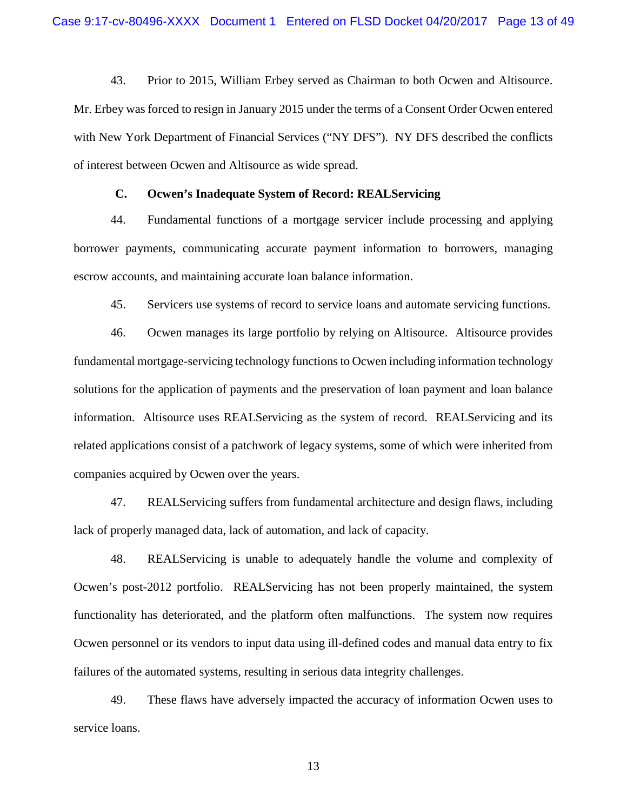43. Prior to 2015, William Erbey served as Chairman to both Ocwen and Altisource. Mr. Erbey was forced to resign in January 2015 under the terms of a Consent Order Ocwen entered with New York Department of Financial Services ("NY DFS"). NY DFS described the conflicts of interest between Ocwen and Altisource as wide spread.

### **C. Ocwen's Inadequate System of Record: REALServicing**

44. Fundamental functions of a mortgage servicer include processing and applying borrower payments, communicating accurate payment information to borrowers, managing escrow accounts, and maintaining accurate loan balance information.

45. Servicers use systems of record to service loans and automate servicing functions.

46. Ocwen manages its large portfolio by relying on Altisource. Altisource provides fundamental mortgage-servicing technology functions to Ocwen including information technology solutions for the application of payments and the preservation of loan payment and loan balance information. Altisource uses REALServicing as the system of record. REALServicing and its related applications consist of a patchwork of legacy systems, some of which were inherited from companies acquired by Ocwen over the years.

47. REALServicing suffers from fundamental architecture and design flaws, including lack of properly managed data, lack of automation, and lack of capacity.

48. REALServicing is unable to adequately handle the volume and complexity of Ocwen's post-2012 portfolio. REALServicing has not been properly maintained, the system functionality has deteriorated, and the platform often malfunctions. The system now requires Ocwen personnel or its vendors to input data using ill-defined codes and manual data entry to fix failures of the automated systems, resulting in serious data integrity challenges.

49. These flaws have adversely impacted the accuracy of information Ocwen uses to service loans.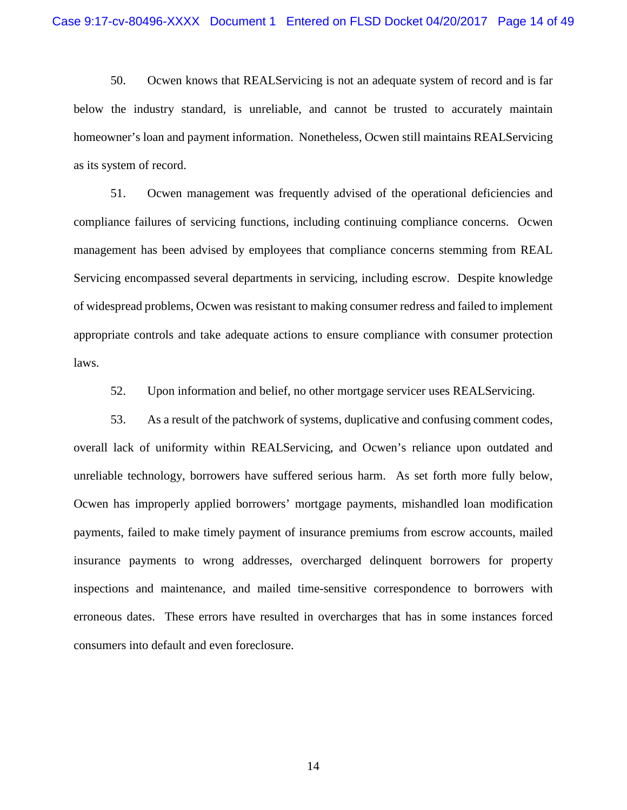50. Ocwen knows that REALServicing is not an adequate system of record and is far below the industry standard, is unreliable, and cannot be trusted to accurately maintain homeowner's loan and payment information. Nonetheless, Ocwen still maintains REALServicing as its system of record.

51. Ocwen management was frequently advised of the operational deficiencies and compliance failures of servicing functions, including continuing compliance concerns. Ocwen management has been advised by employees that compliance concerns stemming from REAL Servicing encompassed several departments in servicing, including escrow. Despite knowledge of widespread problems, Ocwen was resistant to making consumer redress and failed to implement appropriate controls and take adequate actions to ensure compliance with consumer protection laws.

52. Upon information and belief, no other mortgage servicer uses REALServicing.

53. As a result of the patchwork of systems, duplicative and confusing comment codes, overall lack of uniformity within REALServicing, and Ocwen's reliance upon outdated and unreliable technology, borrowers have suffered serious harm. As set forth more fully below, Ocwen has improperly applied borrowers' mortgage payments, mishandled loan modification payments, failed to make timely payment of insurance premiums from escrow accounts, mailed insurance payments to wrong addresses, overcharged delinquent borrowers for property inspections and maintenance, and mailed time-sensitive correspondence to borrowers with erroneous dates. These errors have resulted in overcharges that has in some instances forced consumers into default and even foreclosure.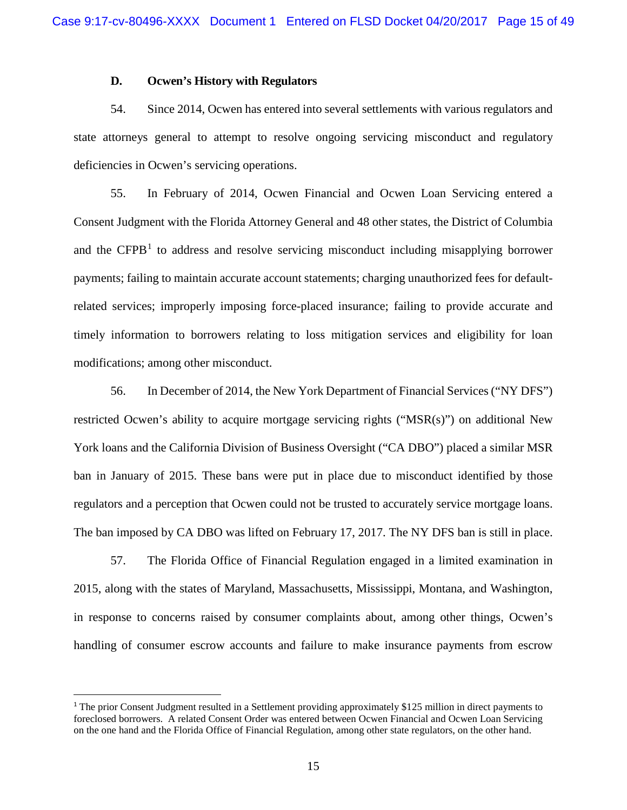## **D. Ocwen's History with Regulators**

54. Since 2014, Ocwen has entered into several settlements with various regulators and state attorneys general to attempt to resolve ongoing servicing misconduct and regulatory deficiencies in Ocwen's servicing operations.

55. In February of 2014, Ocwen Financial and Ocwen Loan Servicing entered a Consent Judgment with the Florida Attorney General and 48 other states, the District of Columbia and the CFPB<sup>[1](#page-14-0)</sup> to address and resolve servicing misconduct including misapplying borrower payments; failing to maintain accurate account statements; charging unauthorized fees for defaultrelated services; improperly imposing force-placed insurance; failing to provide accurate and timely information to borrowers relating to loss mitigation services and eligibility for loan modifications; among other misconduct.

56. In December of 2014, the New York Department of Financial Services ("NY DFS") restricted Ocwen's ability to acquire mortgage servicing rights ("MSR(s)") on additional New York loans and the California Division of Business Oversight ("CA DBO") placed a similar MSR ban in January of 2015. These bans were put in place due to misconduct identified by those regulators and a perception that Ocwen could not be trusted to accurately service mortgage loans. The ban imposed by CA DBO was lifted on February 17, 2017. The NY DFS ban is still in place.

57. The Florida Office of Financial Regulation engaged in a limited examination in 2015, along with the states of Maryland, Massachusetts, Mississippi, Montana, and Washington, in response to concerns raised by consumer complaints about, among other things, Ocwen's handling of consumer escrow accounts and failure to make insurance payments from escrow

<span id="page-14-0"></span><sup>&</sup>lt;sup>1</sup> The prior Consent Judgment resulted in a Settlement providing approximately \$125 million in direct payments to foreclosed borrowers. A related Consent Order was entered between Ocwen Financial and Ocwen Loan Servicing on the one hand and the Florida Office of Financial Regulation, among other state regulators, on the other hand.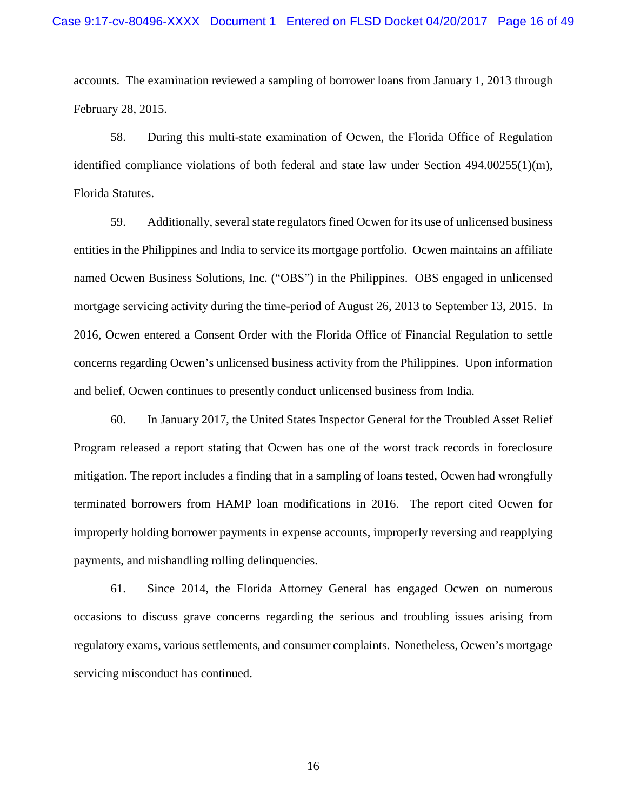accounts. The examination reviewed a sampling of borrower loans from January 1, 2013 through February 28, 2015.

58. During this multi-state examination of Ocwen, the Florida Office of Regulation identified compliance violations of both federal and state law under Section 494.00255(1)(m), Florida Statutes.

59. Additionally, several state regulators fined Ocwen for its use of unlicensed business entities in the Philippines and India to service its mortgage portfolio. Ocwen maintains an affiliate named Ocwen Business Solutions, Inc. ("OBS") in the Philippines. OBS engaged in unlicensed mortgage servicing activity during the time-period of August 26, 2013 to September 13, 2015. In 2016, Ocwen entered a Consent Order with the Florida Office of Financial Regulation to settle concerns regarding Ocwen's unlicensed business activity from the Philippines. Upon information and belief, Ocwen continues to presently conduct unlicensed business from India.

60. In January 2017, the United States Inspector General for the Troubled Asset Relief Program released a report stating that Ocwen has one of the worst track records in foreclosure mitigation. The report includes a finding that in a sampling of loans tested, Ocwen had wrongfully terminated borrowers from HAMP loan modifications in 2016. The report cited Ocwen for improperly holding borrower payments in expense accounts, improperly reversing and reapplying payments, and mishandling rolling delinquencies.

61. Since 2014, the Florida Attorney General has engaged Ocwen on numerous occasions to discuss grave concerns regarding the serious and troubling issues arising from regulatory exams, various settlements, and consumer complaints. Nonetheless, Ocwen's mortgage servicing misconduct has continued.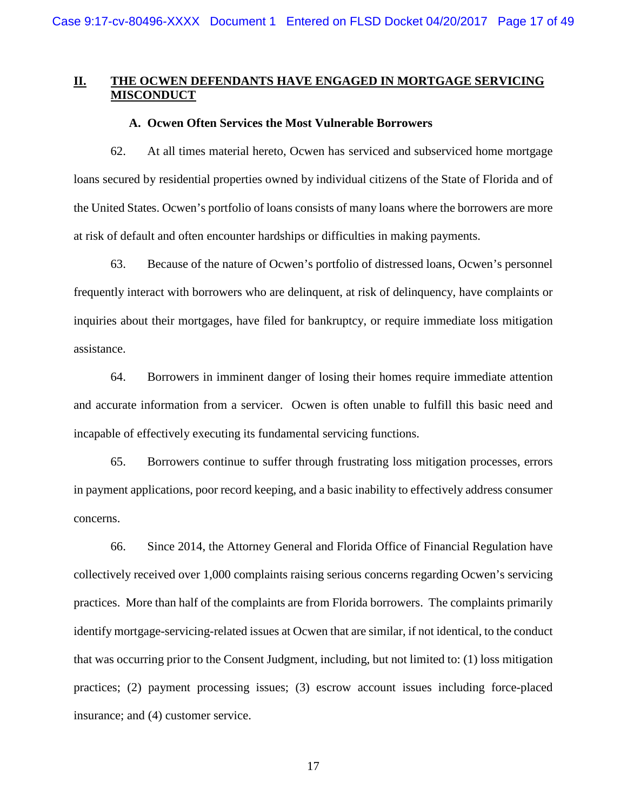# **II. THE OCWEN DEFENDANTS HAVE ENGAGED IN MORTGAGE SERVICING MISCONDUCT**

### **A. Ocwen Often Services the Most Vulnerable Borrowers**

62. At all times material hereto, Ocwen has serviced and subserviced home mortgage loans secured by residential properties owned by individual citizens of the State of Florida and of the United States. Ocwen's portfolio of loans consists of many loans where the borrowers are more at risk of default and often encounter hardships or difficulties in making payments.

63. Because of the nature of Ocwen's portfolio of distressed loans, Ocwen's personnel frequently interact with borrowers who are delinquent, at risk of delinquency, have complaints or inquiries about their mortgages, have filed for bankruptcy, or require immediate loss mitigation assistance.

64. Borrowers in imminent danger of losing their homes require immediate attention and accurate information from a servicer. Ocwen is often unable to fulfill this basic need and incapable of effectively executing its fundamental servicing functions.

65. Borrowers continue to suffer through frustrating loss mitigation processes, errors in payment applications, poor record keeping, and a basic inability to effectively address consumer concerns.

66. Since 2014, the Attorney General and Florida Office of Financial Regulation have collectively received over 1,000 complaints raising serious concerns regarding Ocwen's servicing practices. More than half of the complaints are from Florida borrowers. The complaints primarily identify mortgage-servicing-related issues at Ocwen that are similar, if not identical, to the conduct that was occurring prior to the Consent Judgment, including, but not limited to: (1) loss mitigation practices; (2) payment processing issues; (3) escrow account issues including force-placed insurance; and (4) customer service.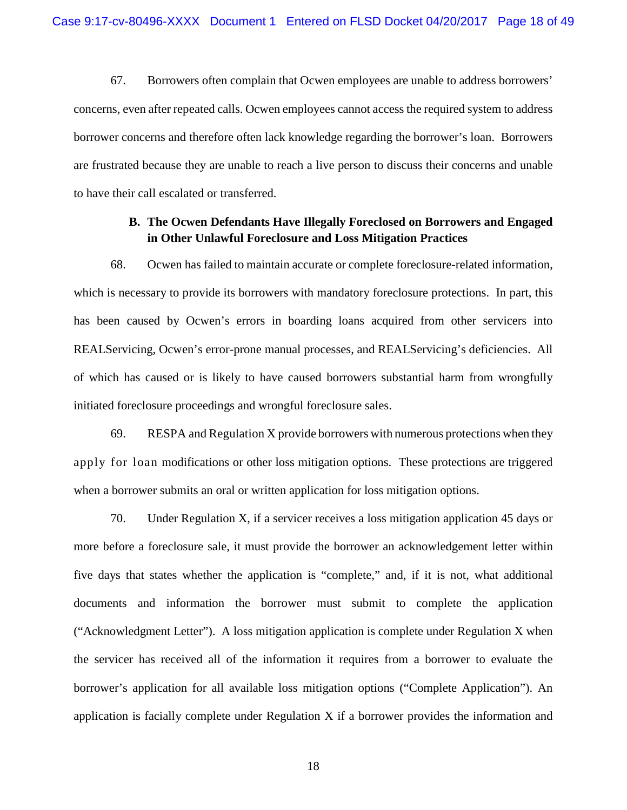67. Borrowers often complain that Ocwen employees are unable to address borrowers' concerns, even after repeated calls. Ocwen employees cannot access the required system to address borrower concerns and therefore often lack knowledge regarding the borrower's loan. Borrowers are frustrated because they are unable to reach a live person to discuss their concerns and unable to have their call escalated or transferred.

# **B. The Ocwen Defendants Have Illegally Foreclosed on Borrowers and Engaged in Other Unlawful Foreclosure and Loss Mitigation Practices**

68. Ocwen has failed to maintain accurate or complete foreclosure-related information, which is necessary to provide its borrowers with mandatory foreclosure protections. In part, this has been caused by Ocwen's errors in boarding loans acquired from other servicers into REALServicing, Ocwen's error-prone manual processes, and REALServicing's deficiencies. All of which has caused or is likely to have caused borrowers substantial harm from wrongfully initiated foreclosure proceedings and wrongful foreclosure sales.

69. RESPA and Regulation X provide borrowers with numerous protections when they apply for loan modifications or other loss mitigation options. These protections are triggered when a borrower submits an oral or written application for loss mitigation options.

70. Under Regulation X, if a servicer receives a loss mitigation application 45 days or more before a foreclosure sale, it must provide the borrower an acknowledgement letter within five days that states whether the application is "complete," and, if it is not, what additional documents and information the borrower must submit to complete the application ("Acknowledgment Letter"). A loss mitigation application is complete under Regulation X when the servicer has received all of the information it requires from a borrower to evaluate the borrower's application for all available loss mitigation options ("Complete Application"). An application is facially complete under Regulation X if a borrower provides the information and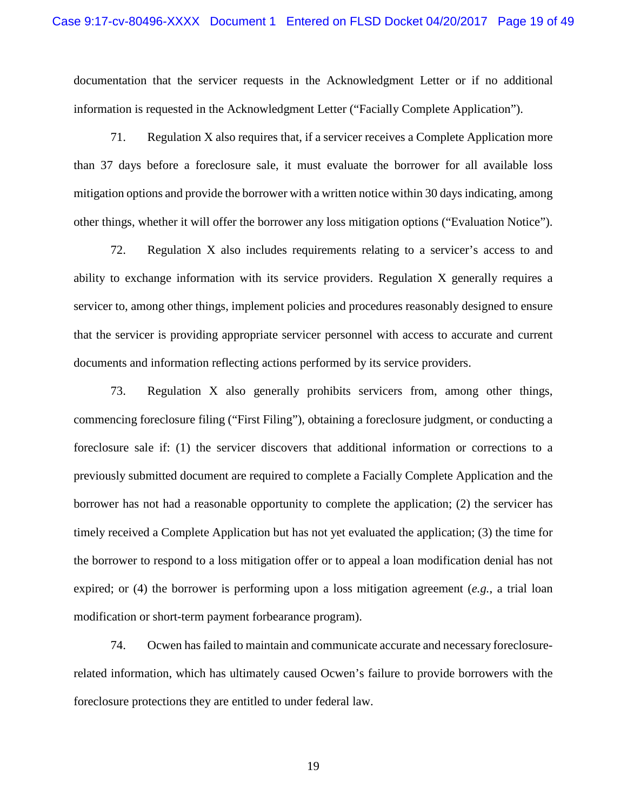documentation that the servicer requests in the Acknowledgment Letter or if no additional information is requested in the Acknowledgment Letter ("Facially Complete Application").

71. Regulation X also requires that, if a servicer receives a Complete Application more than 37 days before a foreclosure sale, it must evaluate the borrower for all available loss mitigation options and provide the borrower with a written notice within 30 days indicating, among other things, whether it will offer the borrower any loss mitigation options ("Evaluation Notice").

72. Regulation X also includes requirements relating to a servicer's access to and ability to exchange information with its service providers. Regulation X generally requires a servicer to, among other things, implement policies and procedures reasonably designed to ensure that the servicer is providing appropriate servicer personnel with access to accurate and current documents and information reflecting actions performed by its service providers.

73. Regulation X also generally prohibits servicers from, among other things, commencing foreclosure filing ("First Filing"), obtaining a foreclosure judgment, or conducting a foreclosure sale if: (1) the servicer discovers that additional information or corrections to a previously submitted document are required to complete a Facially Complete Application and the borrower has not had a reasonable opportunity to complete the application; (2) the servicer has timely received a Complete Application but has not yet evaluated the application; (3) the time for the borrower to respond to a loss mitigation offer or to appeal a loan modification denial has not expired; or (4) the borrower is performing upon a loss mitigation agreement (*e.g.*, a trial loan modification or short-term payment forbearance program).

74. Ocwen has failed to maintain and communicate accurate and necessary foreclosurerelated information, which has ultimately caused Ocwen's failure to provide borrowers with the foreclosure protections they are entitled to under federal law.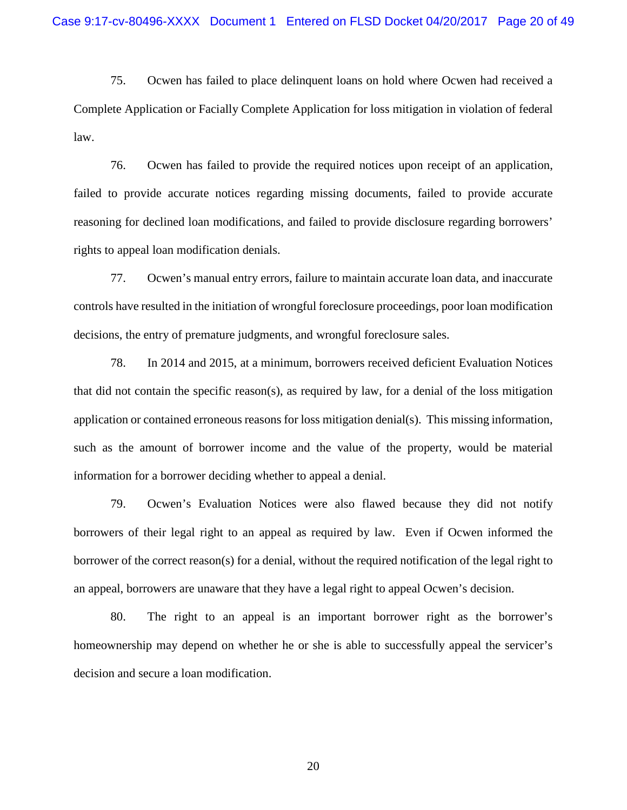75. Ocwen has failed to place delinquent loans on hold where Ocwen had received a Complete Application or Facially Complete Application for loss mitigation in violation of federal law.

76. Ocwen has failed to provide the required notices upon receipt of an application, failed to provide accurate notices regarding missing documents, failed to provide accurate reasoning for declined loan modifications, and failed to provide disclosure regarding borrowers' rights to appeal loan modification denials.

77. Ocwen's manual entry errors, failure to maintain accurate loan data, and inaccurate controls have resulted in the initiation of wrongful foreclosure proceedings, poor loan modification decisions, the entry of premature judgments, and wrongful foreclosure sales.

78. In 2014 and 2015, at a minimum, borrowers received deficient Evaluation Notices that did not contain the specific reason(s), as required by law, for a denial of the loss mitigation application or contained erroneous reasons for loss mitigation denial(s). This missing information, such as the amount of borrower income and the value of the property, would be material information for a borrower deciding whether to appeal a denial.

79. Ocwen's Evaluation Notices were also flawed because they did not notify borrowers of their legal right to an appeal as required by law. Even if Ocwen informed the borrower of the correct reason(s) for a denial, without the required notification of the legal right to an appeal, borrowers are unaware that they have a legal right to appeal Ocwen's decision.

80. The right to an appeal is an important borrower right as the borrower's homeownership may depend on whether he or she is able to successfully appeal the servicer's decision and secure a loan modification.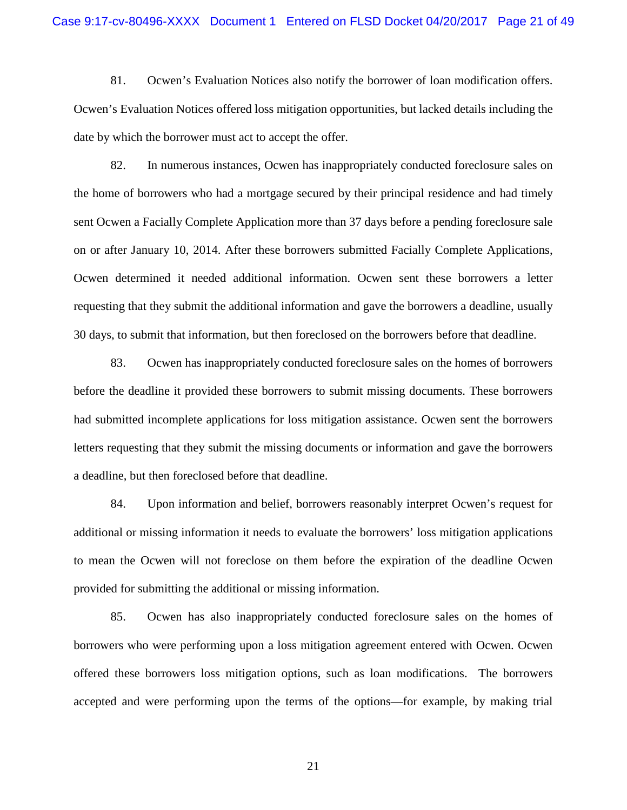81. Ocwen's Evaluation Notices also notify the borrower of loan modification offers. Ocwen's Evaluation Notices offered loss mitigation opportunities, but lacked details including the date by which the borrower must act to accept the offer.

82. In numerous instances, Ocwen has inappropriately conducted foreclosure sales on the home of borrowers who had a mortgage secured by their principal residence and had timely sent Ocwen a Facially Complete Application more than 37 days before a pending foreclosure sale on or after January 10, 2014. After these borrowers submitted Facially Complete Applications, Ocwen determined it needed additional information. Ocwen sent these borrowers a letter requesting that they submit the additional information and gave the borrowers a deadline, usually 30 days, to submit that information, but then foreclosed on the borrowers before that deadline.

83. Ocwen has inappropriately conducted foreclosure sales on the homes of borrowers before the deadline it provided these borrowers to submit missing documents. These borrowers had submitted incomplete applications for loss mitigation assistance. Ocwen sent the borrowers letters requesting that they submit the missing documents or information and gave the borrowers a deadline, but then foreclosed before that deadline.

84. Upon information and belief, borrowers reasonably interpret Ocwen's request for additional or missing information it needs to evaluate the borrowers' loss mitigation applications to mean the Ocwen will not foreclose on them before the expiration of the deadline Ocwen provided for submitting the additional or missing information.

85. Ocwen has also inappropriately conducted foreclosure sales on the homes of borrowers who were performing upon a loss mitigation agreement entered with Ocwen. Ocwen offered these borrowers loss mitigation options, such as loan modifications. The borrowers accepted and were performing upon the terms of the options—for example, by making trial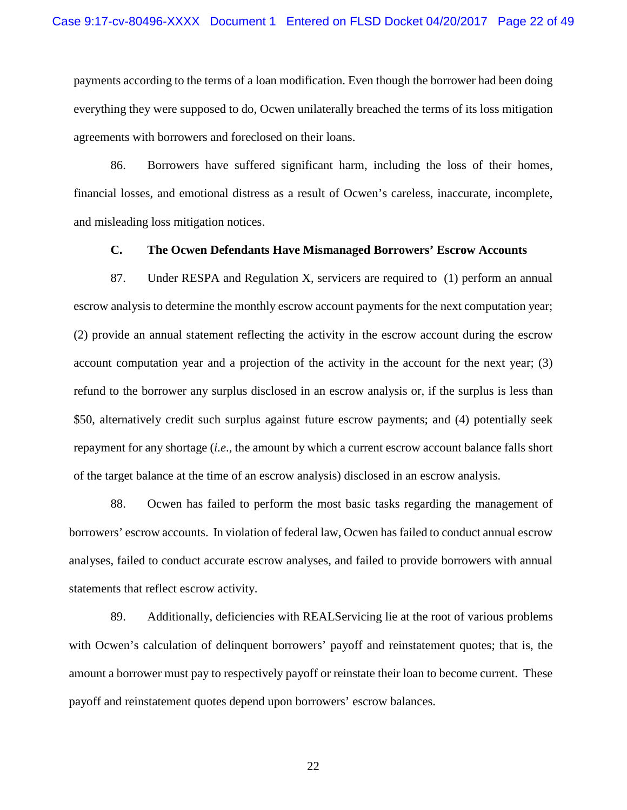payments according to the terms of a loan modification. Even though the borrower had been doing everything they were supposed to do, Ocwen unilaterally breached the terms of its loss mitigation agreements with borrowers and foreclosed on their loans.

86. Borrowers have suffered significant harm, including the loss of their homes, financial losses, and emotional distress as a result of Ocwen's careless, inaccurate, incomplete, and misleading loss mitigation notices.

### **C. The Ocwen Defendants Have Mismanaged Borrowers' Escrow Accounts**

87. Under RESPA and Regulation X, servicers are required to (1) perform an annual escrow analysis to determine the monthly escrow account payments for the next computation year; (2) provide an annual statement reflecting the activity in the escrow account during the escrow account computation year and a projection of the activity in the account for the next year; (3) refund to the borrower any surplus disclosed in an escrow analysis or, if the surplus is less than \$50, alternatively credit such surplus against future escrow payments; and (4) potentially seek repayment for any shortage (*i.e*., the amount by which a current escrow account balance falls short of the target balance at the time of an escrow analysis) disclosed in an escrow analysis.

88. Ocwen has failed to perform the most basic tasks regarding the management of borrowers' escrow accounts. In violation of federal law, Ocwen has failed to conduct annual escrow analyses, failed to conduct accurate escrow analyses, and failed to provide borrowers with annual statements that reflect escrow activity.

89. Additionally, deficiencies with REALServicing lie at the root of various problems with Ocwen's calculation of delinquent borrowers' payoff and reinstatement quotes; that is, the amount a borrower must pay to respectively payoff or reinstate their loan to become current. These payoff and reinstatement quotes depend upon borrowers' escrow balances.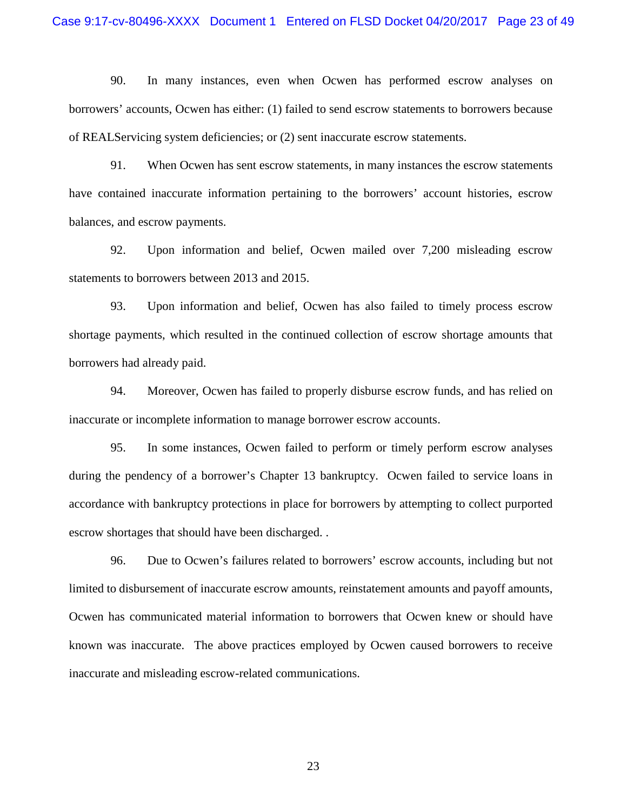90. In many instances, even when Ocwen has performed escrow analyses on borrowers' accounts, Ocwen has either: (1) failed to send escrow statements to borrowers because of REALServicing system deficiencies; or (2) sent inaccurate escrow statements.

91. When Ocwen has sent escrow statements, in many instances the escrow statements have contained inaccurate information pertaining to the borrowers' account histories, escrow balances, and escrow payments.

92. Upon information and belief, Ocwen mailed over 7,200 misleading escrow statements to borrowers between 2013 and 2015.

93. Upon information and belief, Ocwen has also failed to timely process escrow shortage payments, which resulted in the continued collection of escrow shortage amounts that borrowers had already paid.

94. Moreover, Ocwen has failed to properly disburse escrow funds, and has relied on inaccurate or incomplete information to manage borrower escrow accounts.

95. In some instances, Ocwen failed to perform or timely perform escrow analyses during the pendency of a borrower's Chapter 13 bankruptcy. Ocwen failed to service loans in accordance with bankruptcy protections in place for borrowers by attempting to collect purported escrow shortages that should have been discharged. .

96. Due to Ocwen's failures related to borrowers' escrow accounts, including but not limited to disbursement of inaccurate escrow amounts, reinstatement amounts and payoff amounts, Ocwen has communicated material information to borrowers that Ocwen knew or should have known was inaccurate. The above practices employed by Ocwen caused borrowers to receive inaccurate and misleading escrow-related communications.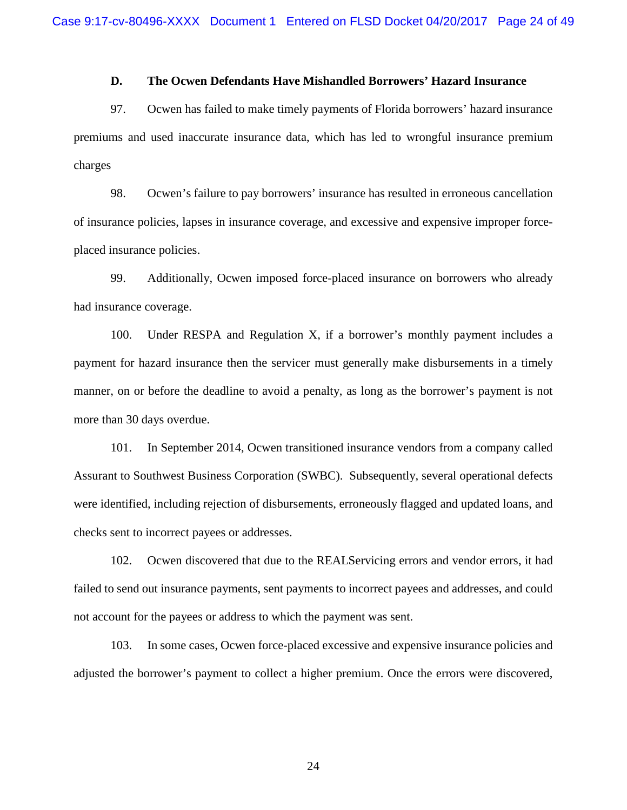### **D. The Ocwen Defendants Have Mishandled Borrowers' Hazard Insurance**

97. Ocwen has failed to make timely payments of Florida borrowers' hazard insurance premiums and used inaccurate insurance data, which has led to wrongful insurance premium charges

98. Ocwen's failure to pay borrowers' insurance has resulted in erroneous cancellation of insurance policies, lapses in insurance coverage, and excessive and expensive improper forceplaced insurance policies.

99. Additionally, Ocwen imposed force-placed insurance on borrowers who already had insurance coverage.

100. Under RESPA and Regulation X, if a borrower's monthly payment includes a payment for hazard insurance then the servicer must generally make disbursements in a timely manner, on or before the deadline to avoid a penalty, as long as the borrower's payment is not more than 30 days overdue.

101. In September 2014, Ocwen transitioned insurance vendors from a company called Assurant to Southwest Business Corporation (SWBC). Subsequently, several operational defects were identified, including rejection of disbursements, erroneously flagged and updated loans, and checks sent to incorrect payees or addresses.

102. Ocwen discovered that due to the REALServicing errors and vendor errors, it had failed to send out insurance payments, sent payments to incorrect payees and addresses, and could not account for the payees or address to which the payment was sent.

103. In some cases, Ocwen force-placed excessive and expensive insurance policies and adjusted the borrower's payment to collect a higher premium. Once the errors were discovered,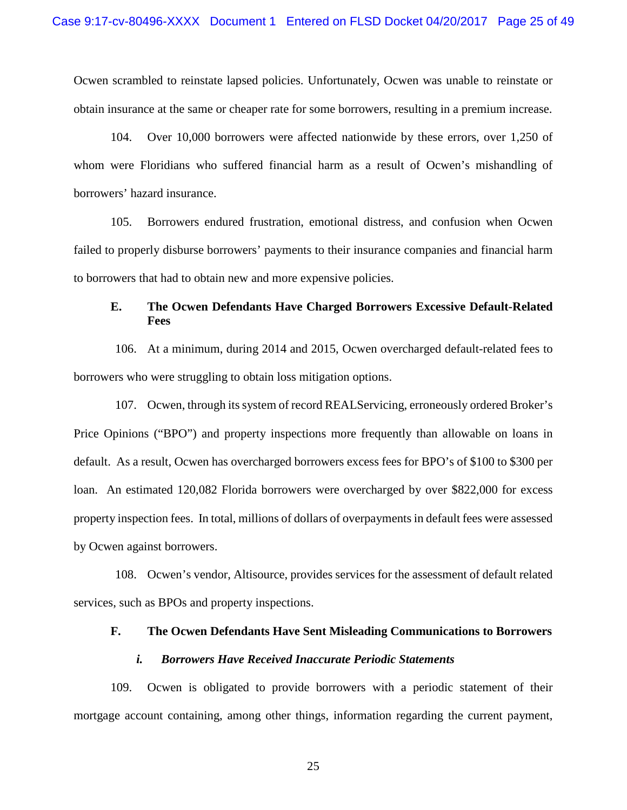Ocwen scrambled to reinstate lapsed policies. Unfortunately, Ocwen was unable to reinstate or obtain insurance at the same or cheaper rate for some borrowers, resulting in a premium increase.

104. Over 10,000 borrowers were affected nationwide by these errors, over 1,250 of whom were Floridians who suffered financial harm as a result of Ocwen's mishandling of borrowers' hazard insurance.

105. Borrowers endured frustration, emotional distress, and confusion when Ocwen failed to properly disburse borrowers' payments to their insurance companies and financial harm to borrowers that had to obtain new and more expensive policies.

# **E. The Ocwen Defendants Have Charged Borrowers Excessive Default-Related Fees**

106. At a minimum, during 2014 and 2015, Ocwen overcharged default-related fees to borrowers who were struggling to obtain loss mitigation options.

107. Ocwen, through its system of record REALServicing, erroneously ordered Broker's Price Opinions ("BPO") and property inspections more frequently than allowable on loans in default. As a result, Ocwen has overcharged borrowers excess fees for BPO's of \$100 to \$300 per loan. An estimated 120,082 Florida borrowers were overcharged by over \$822,000 for excess property inspection fees. In total, millions of dollars of overpayments in default fees were assessed by Ocwen against borrowers.

108. Ocwen's vendor, Altisource, provides services for the assessment of default related services, such as BPOs and property inspections.

### **F. The Ocwen Defendants Have Sent Misleading Communications to Borrowers**

### *i. Borrowers Have Received Inaccurate Periodic Statements*

109. Ocwen is obligated to provide borrowers with a periodic statement of their mortgage account containing, among other things, information regarding the current payment,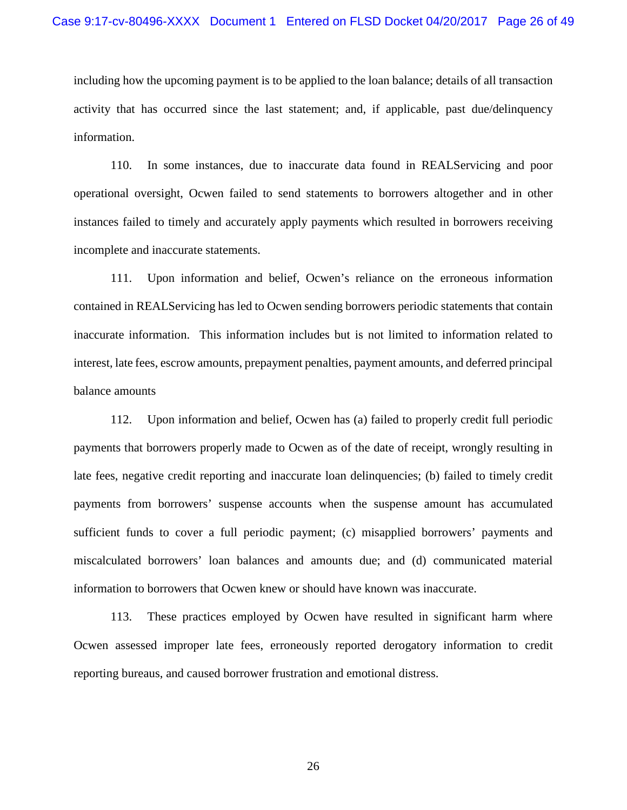including how the upcoming payment is to be applied to the loan balance; details of all transaction activity that has occurred since the last statement; and, if applicable, past due/delinquency information.

110. In some instances, due to inaccurate data found in REALServicing and poor operational oversight, Ocwen failed to send statements to borrowers altogether and in other instances failed to timely and accurately apply payments which resulted in borrowers receiving incomplete and inaccurate statements.

111. Upon information and belief, Ocwen's reliance on the erroneous information contained in REALServicing has led to Ocwen sending borrowers periodic statements that contain inaccurate information. This information includes but is not limited to information related to interest, late fees, escrow amounts, prepayment penalties, payment amounts, and deferred principal balance amounts

112. Upon information and belief, Ocwen has (a) failed to properly credit full periodic payments that borrowers properly made to Ocwen as of the date of receipt, wrongly resulting in late fees, negative credit reporting and inaccurate loan delinquencies; (b) failed to timely credit payments from borrowers' suspense accounts when the suspense amount has accumulated sufficient funds to cover a full periodic payment; (c) misapplied borrowers' payments and miscalculated borrowers' loan balances and amounts due; and (d) communicated material information to borrowers that Ocwen knew or should have known was inaccurate.

113. These practices employed by Ocwen have resulted in significant harm where Ocwen assessed improper late fees, erroneously reported derogatory information to credit reporting bureaus, and caused borrower frustration and emotional distress.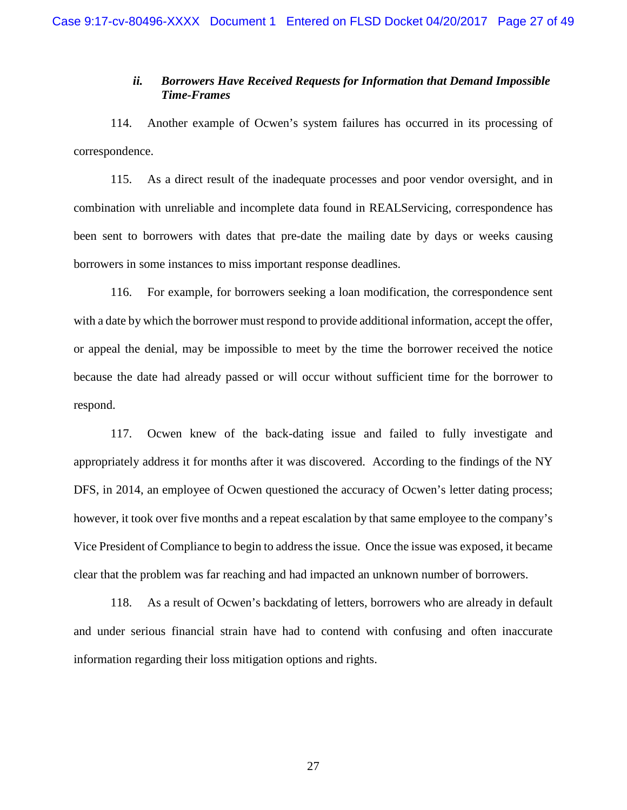### *ii. Borrowers Have Received Requests for Information that Demand Impossible Time-Frames*

114. Another example of Ocwen's system failures has occurred in its processing of correspondence.

115. As a direct result of the inadequate processes and poor vendor oversight, and in combination with unreliable and incomplete data found in REALServicing, correspondence has been sent to borrowers with dates that pre-date the mailing date by days or weeks causing borrowers in some instances to miss important response deadlines.

116. For example, for borrowers seeking a loan modification, the correspondence sent with a date by which the borrower must respond to provide additional information, accept the offer, or appeal the denial, may be impossible to meet by the time the borrower received the notice because the date had already passed or will occur without sufficient time for the borrower to respond.

117. Ocwen knew of the back-dating issue and failed to fully investigate and appropriately address it for months after it was discovered. According to the findings of the NY DFS, in 2014, an employee of Ocwen questioned the accuracy of Ocwen's letter dating process; however, it took over five months and a repeat escalation by that same employee to the company's Vice President of Compliance to begin to address the issue. Once the issue was exposed, it became clear that the problem was far reaching and had impacted an unknown number of borrowers.

118. As a result of Ocwen's backdating of letters, borrowers who are already in default and under serious financial strain have had to contend with confusing and often inaccurate information regarding their loss mitigation options and rights.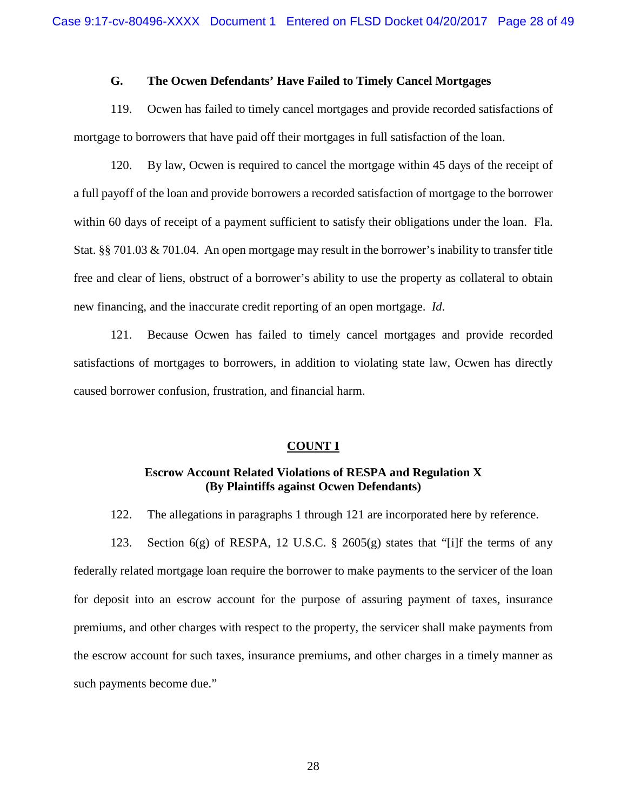### **G. The Ocwen Defendants' Have Failed to Timely Cancel Mortgages**

119. Ocwen has failed to timely cancel mortgages and provide recorded satisfactions of mortgage to borrowers that have paid off their mortgages in full satisfaction of the loan.

120. By law, Ocwen is required to cancel the mortgage within 45 days of the receipt of a full payoff of the loan and provide borrowers a recorded satisfaction of mortgage to the borrower within 60 days of receipt of a payment sufficient to satisfy their obligations under the loan. Fla. Stat. §§ 701.03 & 701.04. An open mortgage may result in the borrower's inability to transfer title free and clear of liens, obstruct of a borrower's ability to use the property as collateral to obtain new financing, and the inaccurate credit reporting of an open mortgage. *Id*.

121. Because Ocwen has failed to timely cancel mortgages and provide recorded satisfactions of mortgages to borrowers, in addition to violating state law, Ocwen has directly caused borrower confusion, frustration, and financial harm.

#### **COUNT I**

# **Escrow Account Related Violations of RESPA and Regulation X (By Plaintiffs against Ocwen Defendants)**

122. The allegations in paragraphs 1 through 121 are incorporated here by reference.

123. Section 6(g) of RESPA, 12 U.S.C. § 2605(g) states that "[i]f the terms of any federally related mortgage loan require the borrower to make payments to the servicer of the loan for deposit into an escrow account for the purpose of assuring payment of taxes, insurance premiums, and other charges with respect to the property, the servicer shall make payments from the escrow account for such taxes, insurance premiums, and other charges in a timely manner as such payments become due."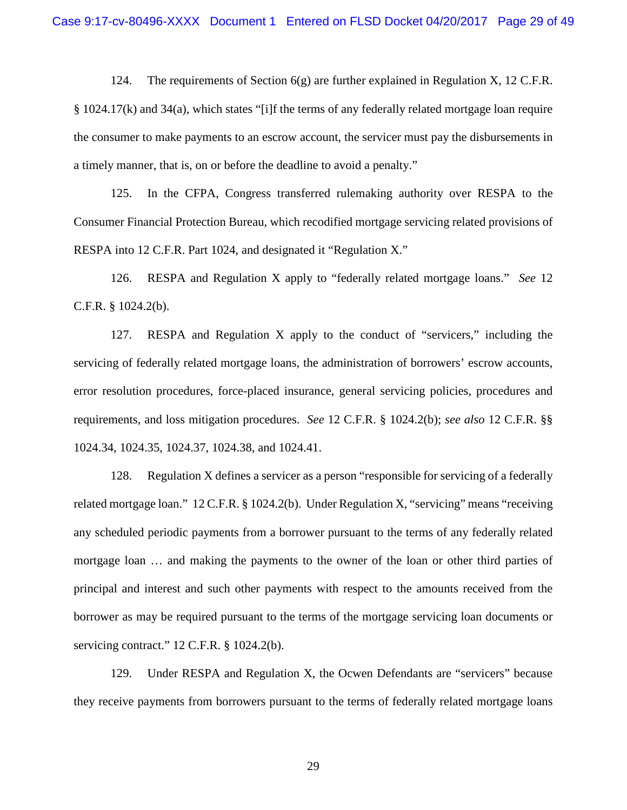124. The requirements of Section  $6(g)$  are further explained in Regulation X, 12 C.F.R. § 1024.17(k) and 34(a), which states "[i]f the terms of any federally related mortgage loan require the consumer to make payments to an escrow account, the servicer must pay the disbursements in a timely manner, that is, on or before the deadline to avoid a penalty."

125. In the CFPA, Congress transferred rulemaking authority over RESPA to the Consumer Financial Protection Bureau, which recodified mortgage servicing related provisions of RESPA into 12 C.F.R. Part 1024, and designated it "Regulation X."

126. RESPA and Regulation X apply to "federally related mortgage loans." *See* 12 C.F.R. § 1024.2(b).

127. RESPA and Regulation X apply to the conduct of "servicers," including the servicing of federally related mortgage loans, the administration of borrowers' escrow accounts, error resolution procedures, force-placed insurance, general servicing policies, procedures and requirements, and loss mitigation procedures. *See* 12 C.F.R. § 1024.2(b); *see also* 12 C.F.R. §§ 1024.34, 1024.35, 1024.37, 1024.38, and 1024.41.

128. Regulation X defines a servicer as a person "responsible for servicing of a federally related mortgage loan." 12 C.F.R. § 1024.2(b). Under Regulation X, "servicing" means "receiving any scheduled periodic payments from a borrower pursuant to the terms of any federally related mortgage loan … and making the payments to the owner of the loan or other third parties of principal and interest and such other payments with respect to the amounts received from the borrower as may be required pursuant to the terms of the mortgage servicing loan documents or servicing contract." 12 C.F.R. § 1024.2(b).

129. Under RESPA and Regulation X, the Ocwen Defendants are "servicers" because they receive payments from borrowers pursuant to the terms of federally related mortgage loans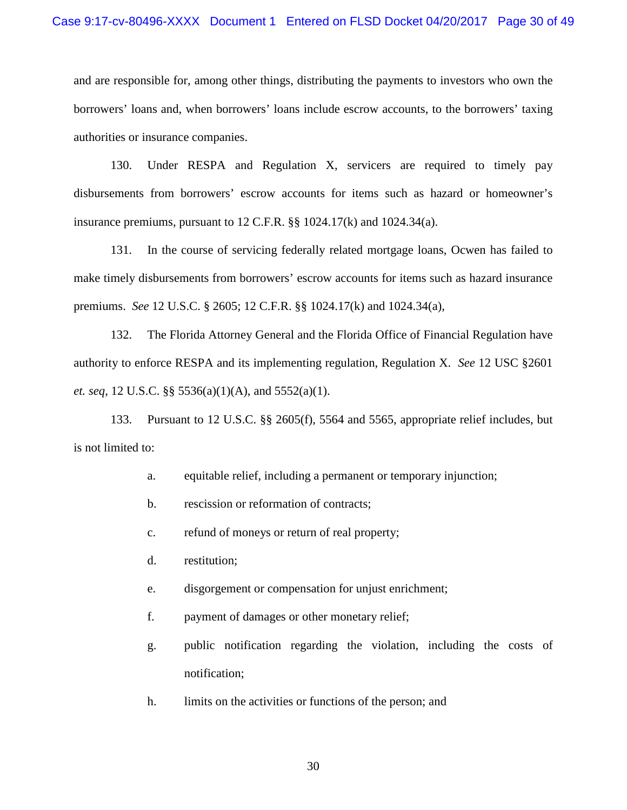and are responsible for, among other things, distributing the payments to investors who own the borrowers' loans and, when borrowers' loans include escrow accounts, to the borrowers' taxing authorities or insurance companies.

130. Under RESPA and Regulation X, servicers are required to timely pay disbursements from borrowers' escrow accounts for items such as hazard or homeowner's insurance premiums, pursuant to 12 C.F.R. §§ 1024.17(k) and 1024.34(a).

131. In the course of servicing federally related mortgage loans, Ocwen has failed to make timely disbursements from borrowers' escrow accounts for items such as hazard insurance premiums. *See* 12 U.S.C. § 2605; 12 C.F.R. §§ 1024.17(k) and 1024.34(a),

132. The Florida Attorney General and the Florida Office of Financial Regulation have authority to enforce RESPA and its implementing regulation, Regulation X. *See* 12 USC §2601 *et. seq*, 12 U.S.C. §§ 5536(a)(1)(A), and 5552(a)(1).

133. Pursuant to 12 U.S.C. §§ 2605(f), 5564 and 5565, appropriate relief includes, but is not limited to:

- a. equitable relief, including a permanent or temporary injunction;
- b. rescission or reformation of contracts;
- c. refund of moneys or return of real property;
- d. restitution;
- e. disgorgement or compensation for unjust enrichment;
- f. payment of damages or other monetary relief;
- g. public notification regarding the violation, including the costs of notification;
- h. limits on the activities or functions of the person; and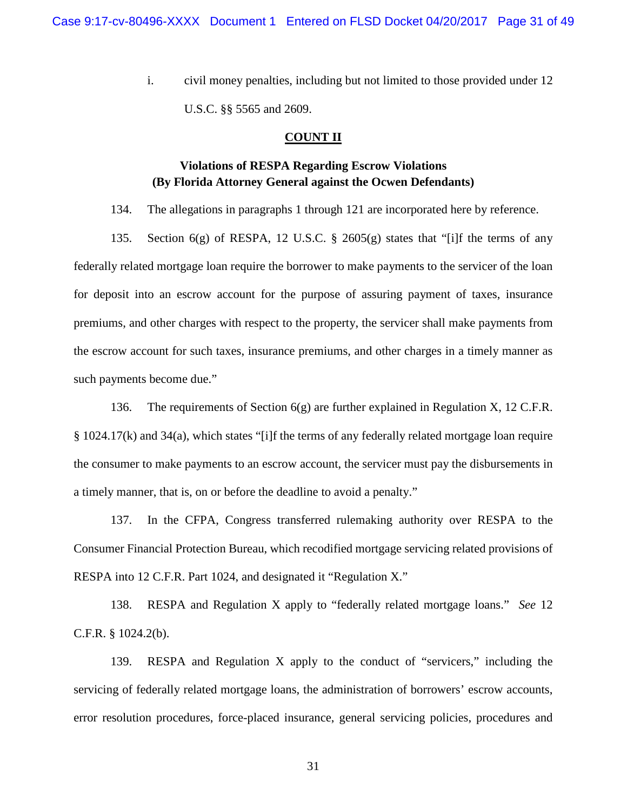i. civil money penalties, including but not limited to those provided under 12 U.S.C. §§ 5565 and 2609.

### **COUNT II**

# **Violations of RESPA Regarding Escrow Violations (By Florida Attorney General against the Ocwen Defendants)**

134. The allegations in paragraphs 1 through 121 are incorporated here by reference.

135. Section 6(g) of RESPA, 12 U.S.C. § 2605(g) states that "[i]f the terms of any federally related mortgage loan require the borrower to make payments to the servicer of the loan for deposit into an escrow account for the purpose of assuring payment of taxes, insurance premiums, and other charges with respect to the property, the servicer shall make payments from the escrow account for such taxes, insurance premiums, and other charges in a timely manner as such payments become due."

136. The requirements of Section  $6(g)$  are further explained in Regulation X, 12 C.F.R. § 1024.17(k) and 34(a), which states "[i]f the terms of any federally related mortgage loan require the consumer to make payments to an escrow account, the servicer must pay the disbursements in a timely manner, that is, on or before the deadline to avoid a penalty."

137. In the CFPA, Congress transferred rulemaking authority over RESPA to the Consumer Financial Protection Bureau, which recodified mortgage servicing related provisions of RESPA into 12 C.F.R. Part 1024, and designated it "Regulation X."

138. RESPA and Regulation X apply to "federally related mortgage loans." *See* 12 C.F.R. § 1024.2(b).

139. RESPA and Regulation X apply to the conduct of "servicers," including the servicing of federally related mortgage loans, the administration of borrowers' escrow accounts, error resolution procedures, force-placed insurance, general servicing policies, procedures and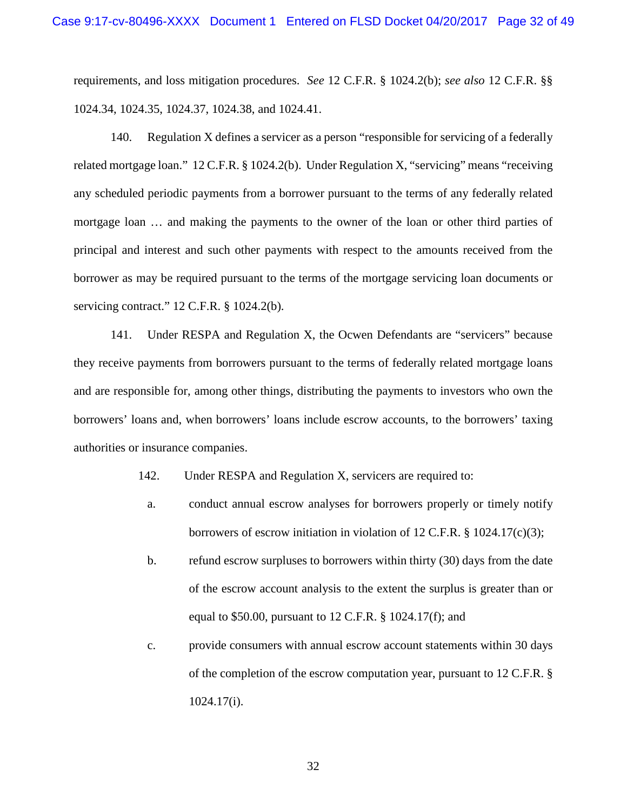requirements, and loss mitigation procedures. *See* 12 C.F.R. § 1024.2(b); *see also* 12 C.F.R. §§ 1024.34, 1024.35, 1024.37, 1024.38, and 1024.41.

140. Regulation X defines a servicer as a person "responsible for servicing of a federally related mortgage loan." 12 C.F.R. § 1024.2(b). Under Regulation X, "servicing" means "receiving any scheduled periodic payments from a borrower pursuant to the terms of any federally related mortgage loan … and making the payments to the owner of the loan or other third parties of principal and interest and such other payments with respect to the amounts received from the borrower as may be required pursuant to the terms of the mortgage servicing loan documents or servicing contract." 12 C.F.R. § 1024.2(b).

141. Under RESPA and Regulation X, the Ocwen Defendants are "servicers" because they receive payments from borrowers pursuant to the terms of federally related mortgage loans and are responsible for, among other things, distributing the payments to investors who own the borrowers' loans and, when borrowers' loans include escrow accounts, to the borrowers' taxing authorities or insurance companies.

- 142. Under RESPA and Regulation X, servicers are required to:
- a. conduct annual escrow analyses for borrowers properly or timely notify borrowers of escrow initiation in violation of 12 C.F.R. § 1024.17(c)(3);
- b. refund escrow surpluses to borrowers within thirty (30) days from the date of the escrow account analysis to the extent the surplus is greater than or equal to \$50.00, pursuant to 12 C.F.R. § 1024.17(f); and
- c. provide consumers with annual escrow account statements within 30 days of the completion of the escrow computation year, pursuant to 12 C.F.R. § 1024.17(i).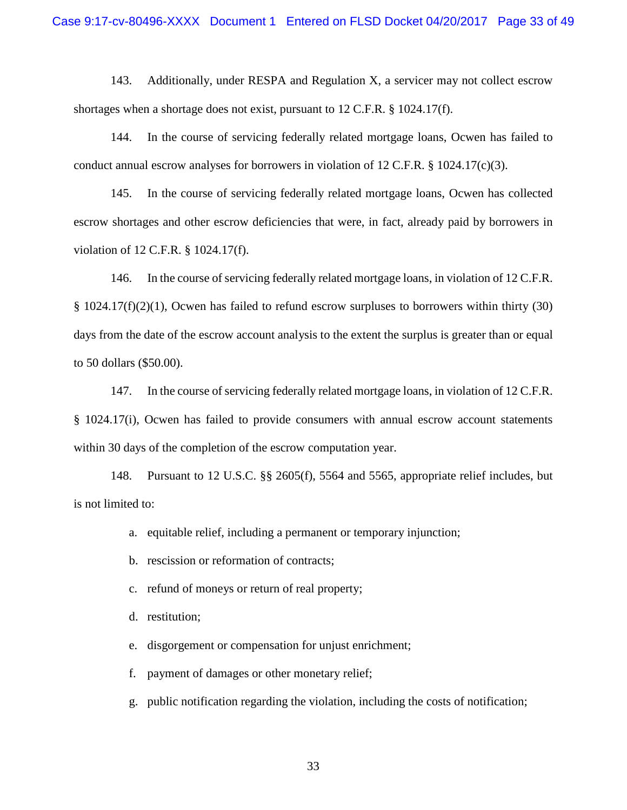143. Additionally, under RESPA and Regulation X, a servicer may not collect escrow shortages when a shortage does not exist, pursuant to 12 C.F.R. § 1024.17(f).

144. In the course of servicing federally related mortgage loans, Ocwen has failed to conduct annual escrow analyses for borrowers in violation of 12 C.F.R.  $\S$  1024.17(c)(3).

145. In the course of servicing federally related mortgage loans, Ocwen has collected escrow shortages and other escrow deficiencies that were, in fact, already paid by borrowers in violation of 12 C.F.R. § 1024.17(f).

146. In the course of servicing federally related mortgage loans, in violation of 12 C.F.R.  $§$  1024.17(f)(2)(1), Ocwen has failed to refund escrow surpluses to borrowers within thirty (30) days from the date of the escrow account analysis to the extent the surplus is greater than or equal to 50 dollars (\$50.00).

147. In the course of servicing federally related mortgage loans, in violation of 12 C.F.R. § 1024.17(i), Ocwen has failed to provide consumers with annual escrow account statements within 30 days of the completion of the escrow computation year.

148. Pursuant to 12 U.S.C. §§ 2605(f), 5564 and 5565, appropriate relief includes, but is not limited to:

- a. equitable relief, including a permanent or temporary injunction;
- b. rescission or reformation of contracts;
- c. refund of moneys or return of real property;
- d. restitution;
- e. disgorgement or compensation for unjust enrichment;
- f. payment of damages or other monetary relief;
- g. public notification regarding the violation, including the costs of notification;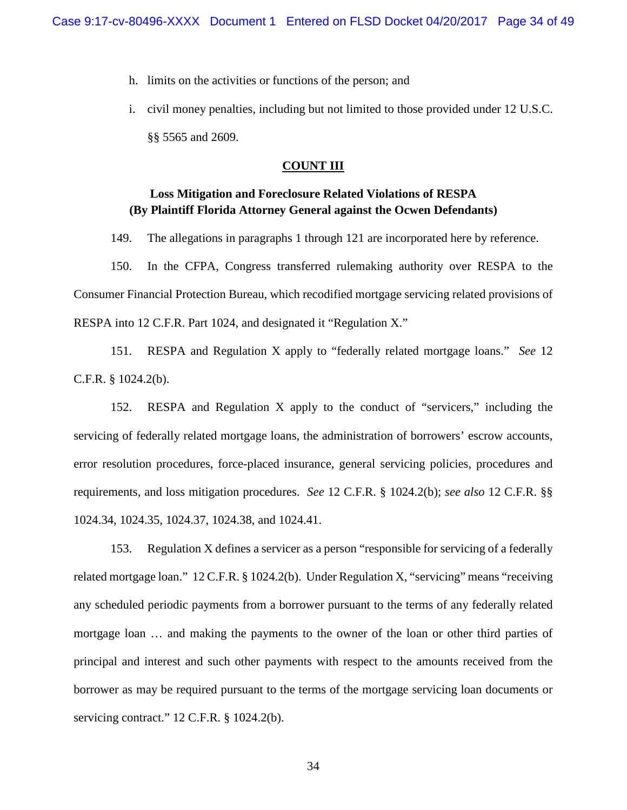- h. limits on the activities or functions of the person; and
- i. civil money penalties, including but not limited to those provided under 12 U.S.C. §§ 5565 and 2609.

# **COUNT III**

# **Loss Mitigation and Foreclosure Related Violations of RESPA (By Plaintiff Florida Attorney General against the Ocwen Defendants)**

149. The allegations in paragraphs 1 through 121 are incorporated here by reference.

150. In the CFPA, Congress transferred rulemaking authority over RESPA to the Consumer Financial Protection Bureau, which recodified mortgage servicing related provisions of RESPA into 12 C.F.R. Part 1024, and designated it "Regulation X."

151. RESPA and Regulation X apply to "federally related mortgage loans." *See* 12 C.F.R. § 1024.2(b).

152. RESPA and Regulation X apply to the conduct of "servicers," including the servicing of federally related mortgage loans, the administration of borrowers' escrow accounts, error resolution procedures, force-placed insurance, general servicing policies, procedures and requirements, and loss mitigation procedures. *See* 12 C.F.R. § 1024.2(b); *see also* 12 C.F.R. §§ 1024.34, 1024.35, 1024.37, 1024.38, and 1024.41.

153. Regulation X defines a servicer as a person "responsible for servicing of a federally related mortgage loan." 12 C.F.R. § 1024.2(b). Under Regulation X, "servicing" means "receiving any scheduled periodic payments from a borrower pursuant to the terms of any federally related mortgage loan … and making the payments to the owner of the loan or other third parties of principal and interest and such other payments with respect to the amounts received from the borrower as may be required pursuant to the terms of the mortgage servicing loan documents or servicing contract." 12 C.F.R. § 1024.2(b).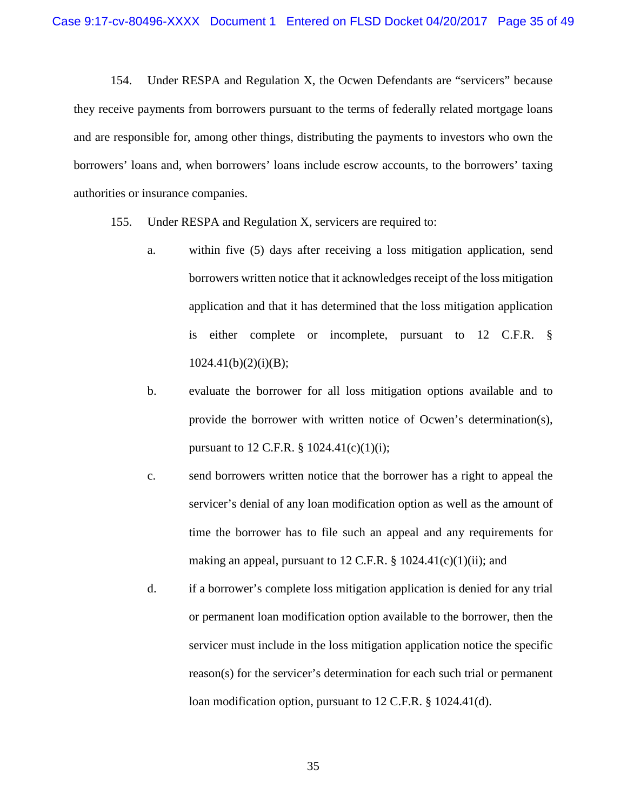154. Under RESPA and Regulation X, the Ocwen Defendants are "servicers" because they receive payments from borrowers pursuant to the terms of federally related mortgage loans and are responsible for, among other things, distributing the payments to investors who own the borrowers' loans and, when borrowers' loans include escrow accounts, to the borrowers' taxing authorities or insurance companies.

- 155. Under RESPA and Regulation X, servicers are required to:
	- a. within five (5) days after receiving a loss mitigation application, send borrowers written notice that it acknowledges receipt of the loss mitigation application and that it has determined that the loss mitigation application is either complete or incomplete, pursuant to 12 C.F.R. §  $1024.41(b)(2)(i)(B);$
	- b. evaluate the borrower for all loss mitigation options available and to provide the borrower with written notice of Ocwen's determination(s), pursuant to 12 C.F.R.  $\S$  1024.41(c)(1)(i);
	- c. send borrowers written notice that the borrower has a right to appeal the servicer's denial of any loan modification option as well as the amount of time the borrower has to file such an appeal and any requirements for making an appeal, pursuant to 12 C.F.R.  $\S$  1024.41(c)(1)(ii); and
	- d. if a borrower's complete loss mitigation application is denied for any trial or permanent loan modification option available to the borrower, then the servicer must include in the loss mitigation application notice the specific reason(s) for the servicer's determination for each such trial or permanent loan modification option, pursuant to 12 C.F.R. § 1024.41(d).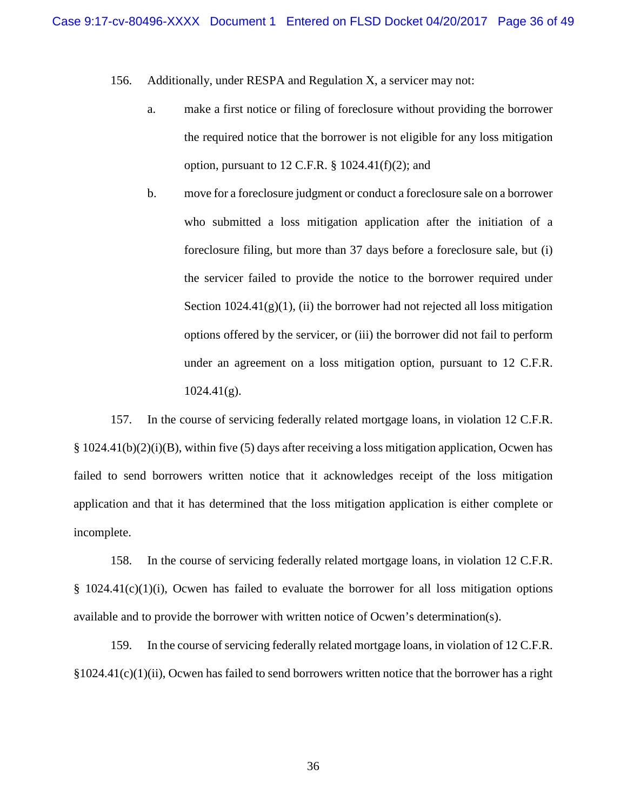- 156. Additionally, under RESPA and Regulation X, a servicer may not:
	- a. make a first notice or filing of foreclosure without providing the borrower the required notice that the borrower is not eligible for any loss mitigation option, pursuant to 12 C.F.R.  $\S$  1024.41(f)(2); and
	- b. move for a foreclosure judgment or conduct a foreclosure sale on a borrower who submitted a loss mitigation application after the initiation of a foreclosure filing, but more than 37 days before a foreclosure sale, but (i) the servicer failed to provide the notice to the borrower required under Section  $1024.41(g)(1)$ , (ii) the borrower had not rejected all loss mitigation options offered by the servicer, or (iii) the borrower did not fail to perform under an agreement on a loss mitigation option, pursuant to 12 C.F.R.  $1024.41(g)$ .

157. In the course of servicing federally related mortgage loans, in violation 12 C.F.R. § 1024.41(b)(2)(i)(B), within five (5) days after receiving a loss mitigation application, Ocwen has failed to send borrowers written notice that it acknowledges receipt of the loss mitigation application and that it has determined that the loss mitigation application is either complete or incomplete.

158. In the course of servicing federally related mortgage loans, in violation 12 C.F.R.  $§$  1024.41(c)(1)(i), Ocwen has failed to evaluate the borrower for all loss mitigation options available and to provide the borrower with written notice of Ocwen's determination(s).

159. In the course of servicing federally related mortgage loans, in violation of 12 C.F.R.  $§1024.41(c)(1)(ii)$ , Ocwen has failed to send borrowers written notice that the borrower has a right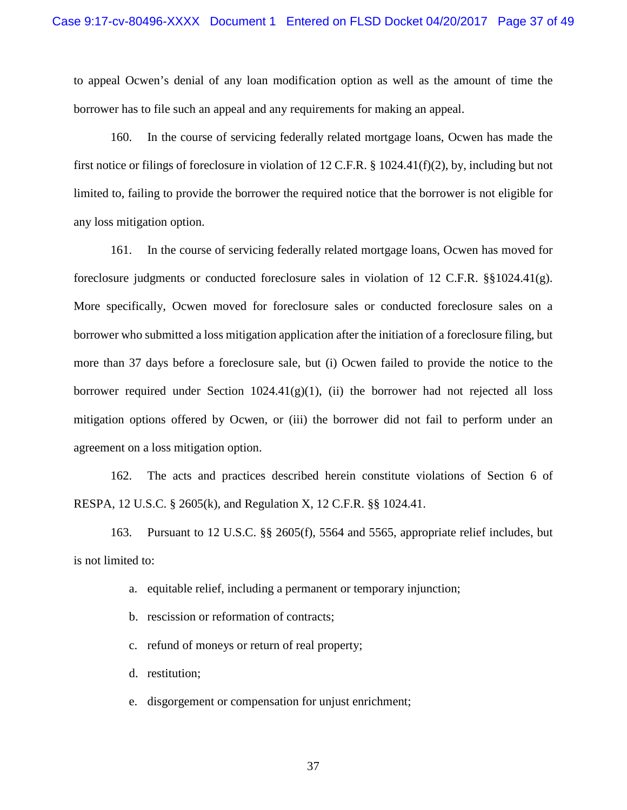to appeal Ocwen's denial of any loan modification option as well as the amount of time the borrower has to file such an appeal and any requirements for making an appeal.

160. In the course of servicing federally related mortgage loans, Ocwen has made the first notice or filings of foreclosure in violation of 12 C.F.R. § 1024.41(f)(2), by, including but not limited to, failing to provide the borrower the required notice that the borrower is not eligible for any loss mitigation option.

161. In the course of servicing federally related mortgage loans, Ocwen has moved for foreclosure judgments or conducted foreclosure sales in violation of 12 C.F.R. §§1024.41(g). More specifically, Ocwen moved for foreclosure sales or conducted foreclosure sales on a borrower who submitted a loss mitigation application after the initiation of a foreclosure filing, but more than 37 days before a foreclosure sale, but (i) Ocwen failed to provide the notice to the borrower required under Section  $1024.41(g)(1)$ , (ii) the borrower had not rejected all loss mitigation options offered by Ocwen, or (iii) the borrower did not fail to perform under an agreement on a loss mitigation option.

162. The acts and practices described herein constitute violations of Section 6 of RESPA, 12 U.S.C. § 2605(k), and Regulation X, 12 C.F.R. §§ 1024.41.

163. Pursuant to 12 U.S.C. §§ 2605(f), 5564 and 5565, appropriate relief includes, but is not limited to:

- a. equitable relief, including a permanent or temporary injunction;
- b. rescission or reformation of contracts;
- c. refund of moneys or return of real property;
- d. restitution;
- e. disgorgement or compensation for unjust enrichment;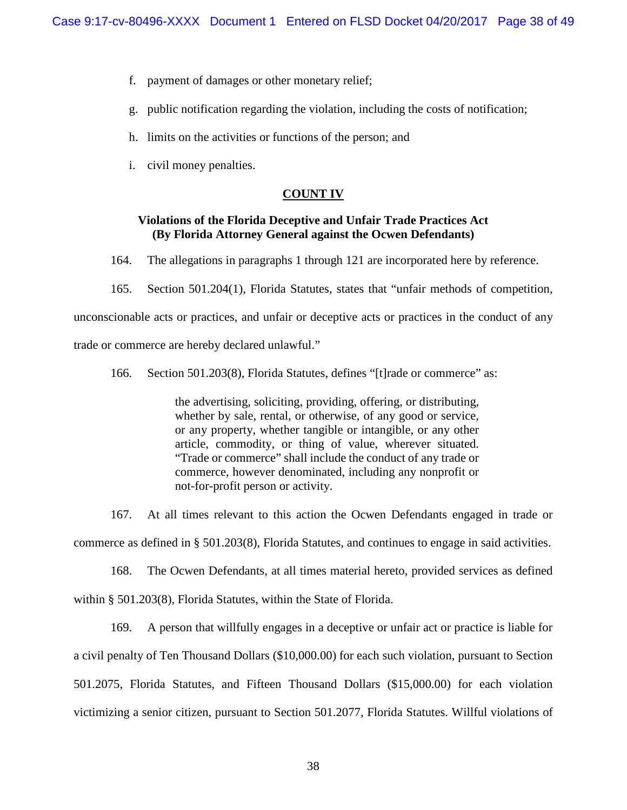- f. payment of damages or other monetary relief;
- g. public notification regarding the violation, including the costs of notification;
- h. limits on the activities or functions of the person; and
- i. civil money penalties.

#### **COUNT IV**

# **Violations of the Florida Deceptive and Unfair Trade Practices Act (By Florida Attorney General against the Ocwen Defendants)**

164. The allegations in paragraphs 1 through 121 are incorporated here by reference.

165. Section 501.204(1), Florida Statutes, states that "unfair methods of competition,

unconscionable acts or practices, and unfair or deceptive acts or practices in the conduct of any

trade or commerce are hereby declared unlawful."

166. Section 501.203(8), Florida Statutes, defines "[t]rade or commerce" as:

the advertising, soliciting, providing, offering, or distributing, whether by sale, rental, or otherwise, of any good or service, or any property, whether tangible or intangible, or any other article, commodity, or thing of value, wherever situated. "Trade or commerce" shall include the conduct of any trade or commerce, however denominated, including any nonprofit or not-for-profit person or activity.

167. At all times relevant to this action the Ocwen Defendants engaged in trade or commerce as defined in § 501.203(8), Florida Statutes, and continues to engage in said activities.

168. The Ocwen Defendants, at all times material hereto, provided services as defined within § 501.203(8), Florida Statutes, within the State of Florida.

169. A person that willfully engages in a deceptive or unfair act or practice is liable for a civil penalty of Ten Thousand Dollars (\$10,000.00) for each such violation, pursuant to Section 501.2075, Florida Statutes, and Fifteen Thousand Dollars (\$15,000.00) for each violation victimizing a senior citizen, pursuant to Section 501.2077, Florida Statutes. Willful violations of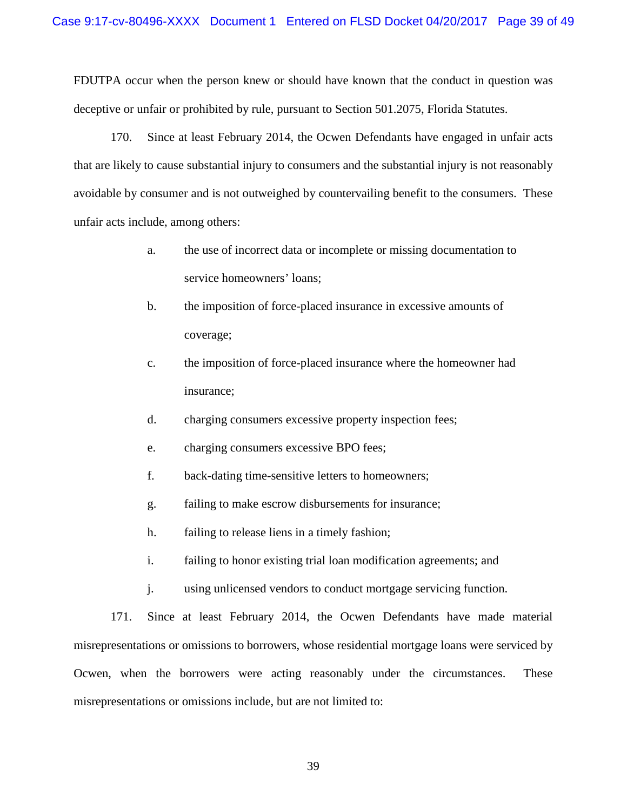FDUTPA occur when the person knew or should have known that the conduct in question was deceptive or unfair or prohibited by rule, pursuant to Section 501.2075, Florida Statutes.

170. Since at least February 2014, the Ocwen Defendants have engaged in unfair acts that are likely to cause substantial injury to consumers and the substantial injury is not reasonably avoidable by consumer and is not outweighed by countervailing benefit to the consumers. These unfair acts include, among others:

- a. the use of incorrect data or incomplete or missing documentation to service homeowners' loans;
- b. the imposition of force-placed insurance in excessive amounts of coverage;
- c. the imposition of force-placed insurance where the homeowner had insurance;
- d. charging consumers excessive property inspection fees;
- e. charging consumers excessive BPO fees;
- f. back-dating time-sensitive letters to homeowners;
- g. failing to make escrow disbursements for insurance;
- h. failing to release liens in a timely fashion;
- i. failing to honor existing trial loan modification agreements; and
- j. using unlicensed vendors to conduct mortgage servicing function.

171. Since at least February 2014, the Ocwen Defendants have made material misrepresentations or omissions to borrowers, whose residential mortgage loans were serviced by Ocwen, when the borrowers were acting reasonably under the circumstances. These misrepresentations or omissions include, but are not limited to: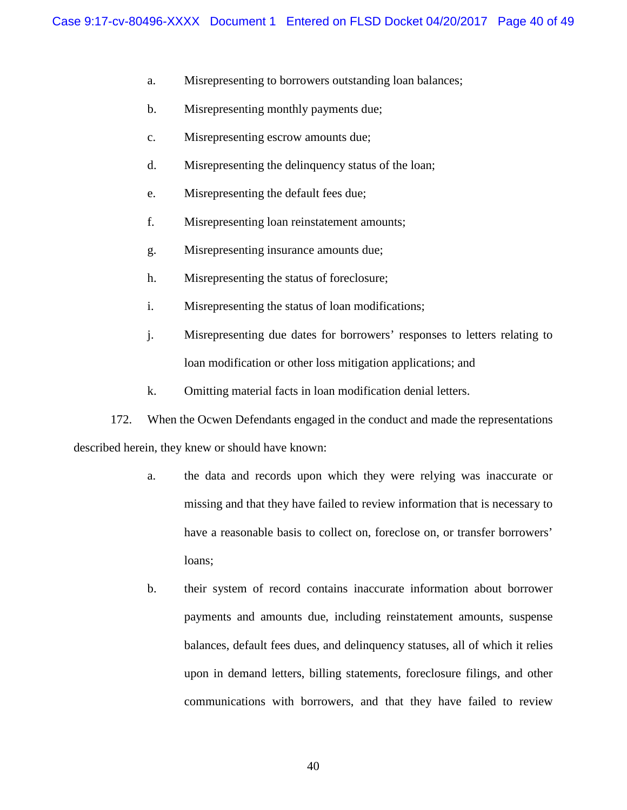- a. Misrepresenting to borrowers outstanding loan balances;
- b. Misrepresenting monthly payments due;
- c. Misrepresenting escrow amounts due;
- d. Misrepresenting the delinquency status of the loan;
- e. Misrepresenting the default fees due;
- f. Misrepresenting loan reinstatement amounts;
- g. Misrepresenting insurance amounts due;
- h. Misrepresenting the status of foreclosure;
- i. Misrepresenting the status of loan modifications;
- j. Misrepresenting due dates for borrowers' responses to letters relating to loan modification or other loss mitigation applications; and
- k. Omitting material facts in loan modification denial letters.

172. When the Ocwen Defendants engaged in the conduct and made the representations described herein, they knew or should have known:

- a. the data and records upon which they were relying was inaccurate or missing and that they have failed to review information that is necessary to have a reasonable basis to collect on, foreclose on, or transfer borrowers' loans;
- b. their system of record contains inaccurate information about borrower payments and amounts due, including reinstatement amounts, suspense balances, default fees dues, and delinquency statuses, all of which it relies upon in demand letters, billing statements, foreclosure filings, and other communications with borrowers, and that they have failed to review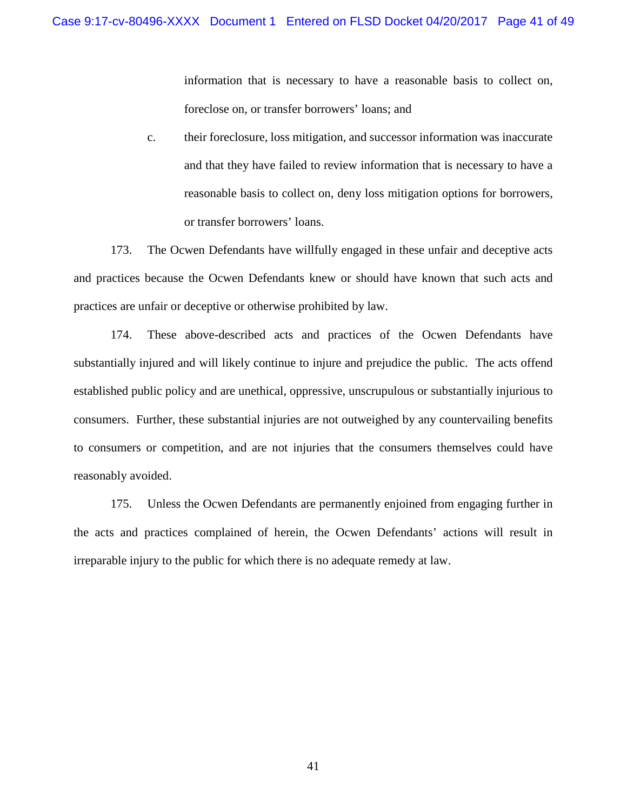information that is necessary to have a reasonable basis to collect on, foreclose on, or transfer borrowers' loans; and

c. their foreclosure, loss mitigation, and successor information was inaccurate and that they have failed to review information that is necessary to have a reasonable basis to collect on, deny loss mitigation options for borrowers, or transfer borrowers' loans.

173. The Ocwen Defendants have willfully engaged in these unfair and deceptive acts and practices because the Ocwen Defendants knew or should have known that such acts and practices are unfair or deceptive or otherwise prohibited by law.

174. These above-described acts and practices of the Ocwen Defendants have substantially injured and will likely continue to injure and prejudice the public. The acts offend established public policy and are unethical, oppressive, unscrupulous or substantially injurious to consumers. Further, these substantial injuries are not outweighed by any countervailing benefits to consumers or competition, and are not injuries that the consumers themselves could have reasonably avoided.

175. Unless the Ocwen Defendants are permanently enjoined from engaging further in the acts and practices complained of herein, the Ocwen Defendants' actions will result in irreparable injury to the public for which there is no adequate remedy at law.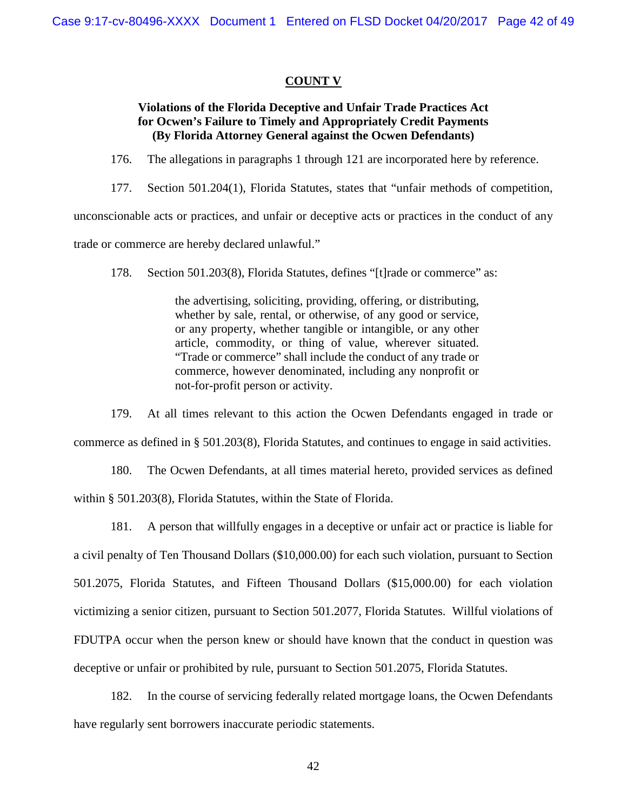### **COUNT V**

# **Violations of the Florida Deceptive and Unfair Trade Practices Act for Ocwen's Failure to Timely and Appropriately Credit Payments (By Florida Attorney General against the Ocwen Defendants)**

176. The allegations in paragraphs 1 through 121 are incorporated here by reference.

177. Section 501.204(1), Florida Statutes, states that "unfair methods of competition,

unconscionable acts or practices, and unfair or deceptive acts or practices in the conduct of any

trade or commerce are hereby declared unlawful."

178. Section 501.203(8), Florida Statutes, defines "[t]rade or commerce" as:

the advertising, soliciting, providing, offering, or distributing, whether by sale, rental, or otherwise, of any good or service, or any property, whether tangible or intangible, or any other article, commodity, or thing of value, wherever situated. "Trade or commerce" shall include the conduct of any trade or commerce, however denominated, including any nonprofit or not-for-profit person or activity.

179. At all times relevant to this action the Ocwen Defendants engaged in trade or commerce as defined in § 501.203(8), Florida Statutes, and continues to engage in said activities.

180. The Ocwen Defendants, at all times material hereto, provided services as defined within § 501.203(8), Florida Statutes, within the State of Florida.

181. A person that willfully engages in a deceptive or unfair act or practice is liable for a civil penalty of Ten Thousand Dollars (\$10,000.00) for each such violation, pursuant to Section 501.2075, Florida Statutes, and Fifteen Thousand Dollars (\$15,000.00) for each violation victimizing a senior citizen, pursuant to Section 501.2077, Florida Statutes. Willful violations of FDUTPA occur when the person knew or should have known that the conduct in question was deceptive or unfair or prohibited by rule, pursuant to Section 501.2075, Florida Statutes.

182. In the course of servicing federally related mortgage loans, the Ocwen Defendants have regularly sent borrowers inaccurate periodic statements.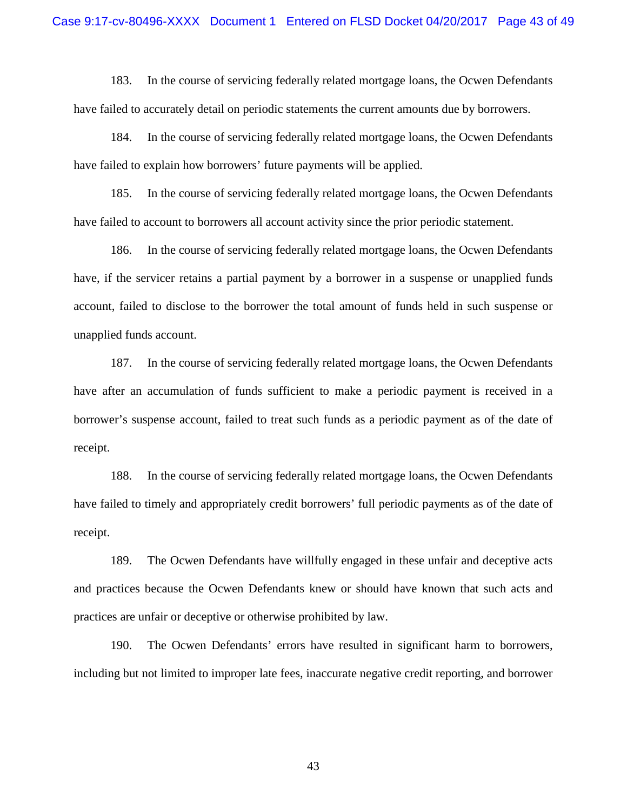183. In the course of servicing federally related mortgage loans, the Ocwen Defendants have failed to accurately detail on periodic statements the current amounts due by borrowers.

184. In the course of servicing federally related mortgage loans, the Ocwen Defendants have failed to explain how borrowers' future payments will be applied.

185. In the course of servicing federally related mortgage loans, the Ocwen Defendants have failed to account to borrowers all account activity since the prior periodic statement.

186. In the course of servicing federally related mortgage loans, the Ocwen Defendants have, if the servicer retains a partial payment by a borrower in a suspense or unapplied funds account, failed to disclose to the borrower the total amount of funds held in such suspense or unapplied funds account.

187. In the course of servicing federally related mortgage loans, the Ocwen Defendants have after an accumulation of funds sufficient to make a periodic payment is received in a borrower's suspense account, failed to treat such funds as a periodic payment as of the date of receipt.

188. In the course of servicing federally related mortgage loans, the Ocwen Defendants have failed to timely and appropriately credit borrowers' full periodic payments as of the date of receipt.

189. The Ocwen Defendants have willfully engaged in these unfair and deceptive acts and practices because the Ocwen Defendants knew or should have known that such acts and practices are unfair or deceptive or otherwise prohibited by law.

190. The Ocwen Defendants' errors have resulted in significant harm to borrowers, including but not limited to improper late fees, inaccurate negative credit reporting, and borrower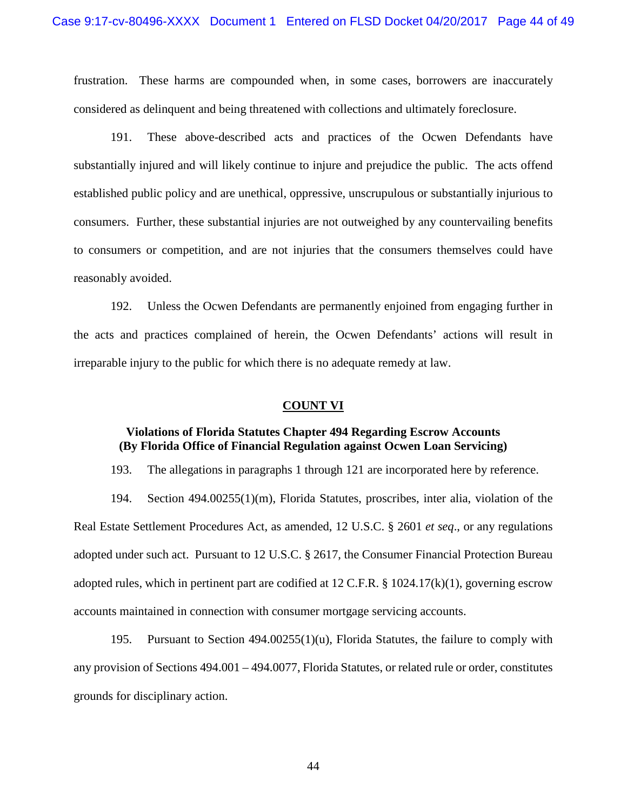frustration. These harms are compounded when, in some cases, borrowers are inaccurately considered as delinquent and being threatened with collections and ultimately foreclosure.

191. These above-described acts and practices of the Ocwen Defendants have substantially injured and will likely continue to injure and prejudice the public. The acts offend established public policy and are unethical, oppressive, unscrupulous or substantially injurious to consumers. Further, these substantial injuries are not outweighed by any countervailing benefits to consumers or competition, and are not injuries that the consumers themselves could have reasonably avoided.

192. Unless the Ocwen Defendants are permanently enjoined from engaging further in the acts and practices complained of herein, the Ocwen Defendants' actions will result in irreparable injury to the public for which there is no adequate remedy at law.

#### **COUNT VI**

### **Violations of Florida Statutes Chapter 494 Regarding Escrow Accounts (By Florida Office of Financial Regulation against Ocwen Loan Servicing)**

193. The allegations in paragraphs 1 through 121 are incorporated here by reference.

194. Section 494.00255(1)(m), Florida Statutes, proscribes, inter alia, violation of the Real Estate Settlement Procedures Act, as amended, 12 U.S.C. § 2601 *et seq*., or any regulations adopted under such act. Pursuant to 12 U.S.C. § 2617, the Consumer Financial Protection Bureau adopted rules, which in pertinent part are codified at 12 C.F.R. § 1024.17(k)(1), governing escrow accounts maintained in connection with consumer mortgage servicing accounts.

195. Pursuant to Section 494.00255(1)(u), Florida Statutes, the failure to comply with any provision of Sections 494.001 – 494.0077, Florida Statutes, or related rule or order, constitutes grounds for disciplinary action.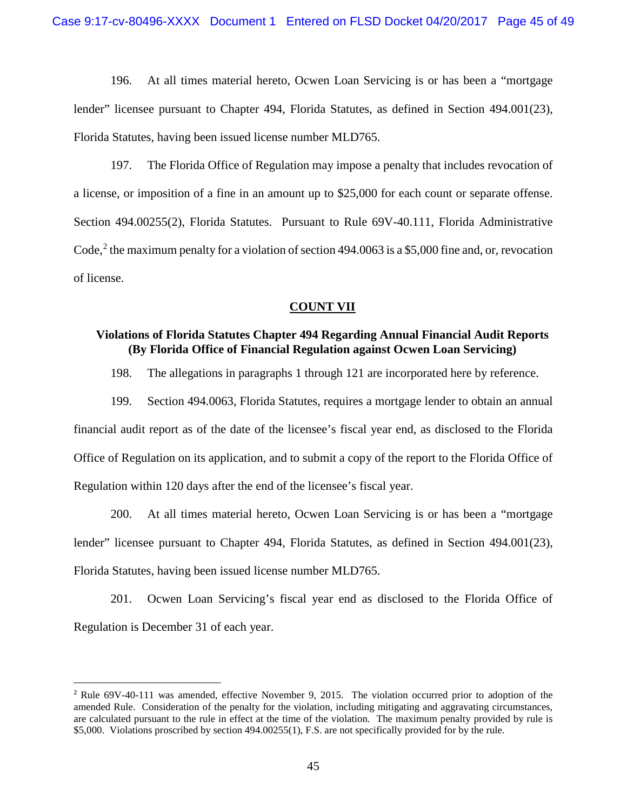196. At all times material hereto, Ocwen Loan Servicing is or has been a "mortgage lender" licensee pursuant to Chapter 494, Florida Statutes, as defined in Section 494.001(23), Florida Statutes, having been issued license number MLD765.

197. The Florida Office of Regulation may impose a penalty that includes revocation of a license, or imposition of a fine in an amount up to \$25,000 for each count or separate offense. Section 494.00255(2), Florida Statutes. Pursuant to Rule 69V-40.111, Florida Administrative Code,<sup>[2](#page-44-0)</sup> the maximum penalty for a violation of section 494.0063 is a \$5,000 fine and, or, revocation of license.

### **COUNT VII**

### **Violations of Florida Statutes Chapter 494 Regarding Annual Financial Audit Reports (By Florida Office of Financial Regulation against Ocwen Loan Servicing)**

198. The allegations in paragraphs 1 through 121 are incorporated here by reference.

199. Section 494.0063, Florida Statutes, requires a mortgage lender to obtain an annual financial audit report as of the date of the licensee's fiscal year end, as disclosed to the Florida Office of Regulation on its application, and to submit a copy of the report to the Florida Office of Regulation within 120 days after the end of the licensee's fiscal year.

200. At all times material hereto, Ocwen Loan Servicing is or has been a "mortgage lender" licensee pursuant to Chapter 494, Florida Statutes, as defined in Section 494.001(23), Florida Statutes, having been issued license number MLD765.

201. Ocwen Loan Servicing's fiscal year end as disclosed to the Florida Office of Regulation is December 31 of each year.

<span id="page-44-0"></span><sup>&</sup>lt;sup>2</sup> Rule 69V-40-111 was amended, effective November 9, 2015. The violation occurred prior to adoption of the amended Rule. Consideration of the penalty for the violation, including mitigating and aggravating circumstances, are calculated pursuant to the rule in effect at the time of the violation. The maximum penalty provided by rule is \$5,000. Violations proscribed by section 494.00255(1), F.S. are not specifically provided for by the rule.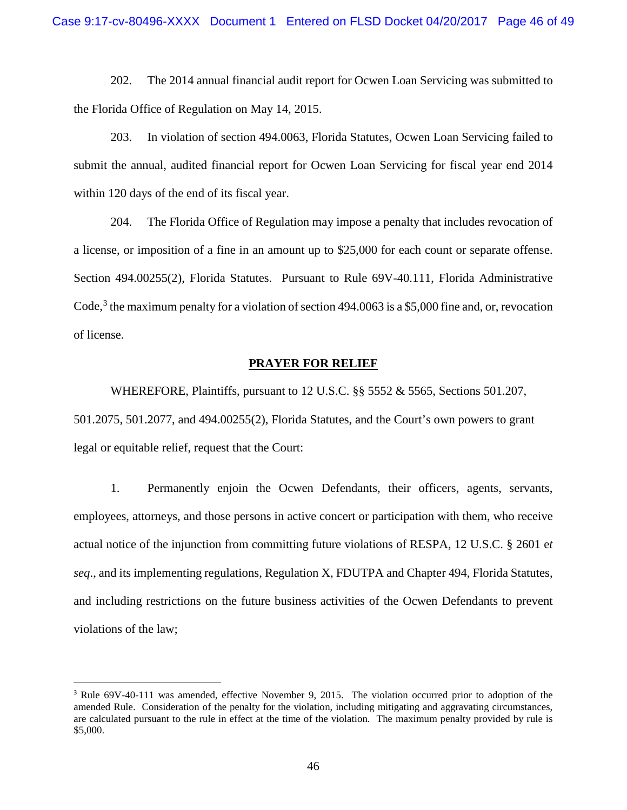202. The 2014 annual financial audit report for Ocwen Loan Servicing was submitted to the Florida Office of Regulation on May 14, 2015.

203. In violation of section 494.0063, Florida Statutes, Ocwen Loan Servicing failed to submit the annual, audited financial report for Ocwen Loan Servicing for fiscal year end 2014 within 120 days of the end of its fiscal year.

204. The Florida Office of Regulation may impose a penalty that includes revocation of a license, or imposition of a fine in an amount up to \$25,000 for each count or separate offense. Section 494.00255(2), Florida Statutes. Pursuant to Rule 69V-40.111, Florida Administrative Code,<sup>[3](#page-45-0)</sup> the maximum penalty for a violation of section 494.0063 is a \$5,000 fine and, or, revocation of license.

#### **PRAYER FOR RELIEF**

WHEREFORE, Plaintiffs, pursuant to 12 U.S.C. §§ 5552 & 5565, Sections 501.207, 501.2075, 501.2077, and 494.00255(2), Florida Statutes, and the Court's own powers to grant legal or equitable relief, request that the Court:

1. Permanently enjoin the Ocwen Defendants, their officers, agents, servants, employees, attorneys, and those persons in active concert or participation with them, who receive actual notice of the injunction from committing future violations of RESPA, 12 U.S.C. § 2601 e*t seq*., and its implementing regulations, Regulation X, FDUTPA and Chapter 494, Florida Statutes, and including restrictions on the future business activities of the Ocwen Defendants to prevent violations of the law;

<span id="page-45-0"></span><sup>&</sup>lt;sup>3</sup> Rule 69V-40-111 was amended, effective November 9, 2015. The violation occurred prior to adoption of the amended Rule. Consideration of the penalty for the violation, including mitigating and aggravating circumstances, are calculated pursuant to the rule in effect at the time of the violation. The maximum penalty provided by rule is \$5,000.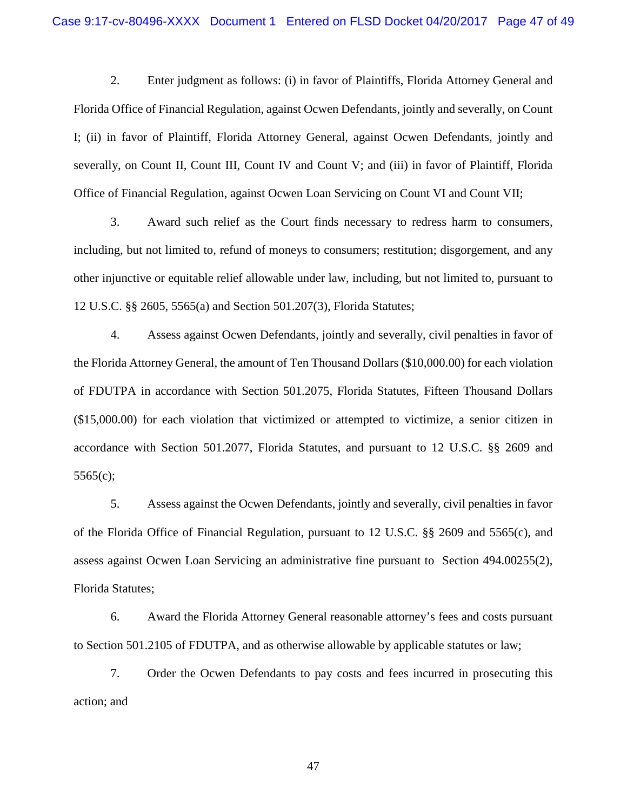2. Enter judgment as follows: (i) in favor of Plaintiffs, Florida Attorney General and Florida Office of Financial Regulation, against Ocwen Defendants, jointly and severally, on Count I; (ii) in favor of Plaintiff, Florida Attorney General, against Ocwen Defendants, jointly and severally, on Count II, Count III, Count IV and Count V; and (iii) in favor of Plaintiff, Florida Office of Financial Regulation, against Ocwen Loan Servicing on Count VI and Count VII;

3. Award such relief as the Court finds necessary to redress harm to consumers, including, but not limited to, refund of moneys to consumers; restitution; disgorgement, and any other injunctive or equitable relief allowable under law, including, but not limited to, pursuant to 12 U.S.C. §§ 2605, 5565(a) and Section 501.207(3), Florida Statutes;

4. Assess against Ocwen Defendants, jointly and severally, civil penalties in favor of the Florida Attorney General, the amount of Ten Thousand Dollars (\$10,000.00) for each violation of FDUTPA in accordance with Section 501.2075, Florida Statutes, Fifteen Thousand Dollars (\$15,000.00) for each violation that victimized or attempted to victimize, a senior citizen in accordance with Section 501.2077, Florida Statutes, and pursuant to 12 U.S.C. §§ 2609 and 5565(c);

5. Assess against the Ocwen Defendants, jointly and severally, civil penalties in favor of the Florida Office of Financial Regulation, pursuant to 12 U.S.C. §§ 2609 and 5565(c), and assess against Ocwen Loan Servicing an administrative fine pursuant to Section 494.00255(2), Florida Statutes;

6. Award the Florida Attorney General reasonable attorney's fees and costs pursuant to Section 501.2105 of FDUTPA, and as otherwise allowable by applicable statutes or law;

7. Order the Ocwen Defendants to pay costs and fees incurred in prosecuting this action; and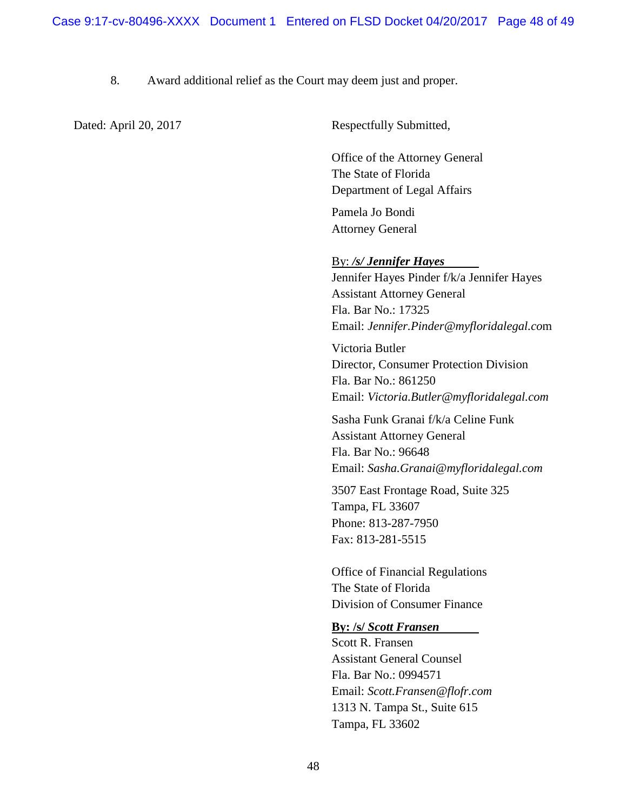# 8. Award additional relief as the Court may deem just and proper.

Dated: April 20, 2017 Respectfully Submitted,

Office of the Attorney General The State of Florida Department of Legal Affairs

Pamela Jo Bondi Attorney General

### By: */s/ Jennifer Hayes*

Jennifer Hayes Pinder f/k/a Jennifer Hayes Assistant Attorney General Fla. Bar No.: 17325 Email: *Jennifer.Pinder@myfloridalegal.co*m

Victoria Butler Director, Consumer Protection Division Fla. Bar No.: 861250 Email: *Victoria.Butler@myfloridalegal.com*

Sasha Funk Granai f/k/a Celine Funk Assistant Attorney General Fla. Bar No.: 96648 Email: *Sasha.Granai@myfloridalegal.com*

3507 East Frontage Road, Suite 325 Tampa, FL 33607 Phone: 813-287-7950 Fax: 813-281-5515

Office of Financial Regulations The State of Florida Division of Consumer Finance

#### **By: /s/** *Scott Fransen*

Scott R. Fransen Assistant General Counsel Fla. Bar No.: 0994571 Email: *Scott.Fransen@flofr.com* 1313 N. Tampa St., Suite 615 Tampa, FL 33602